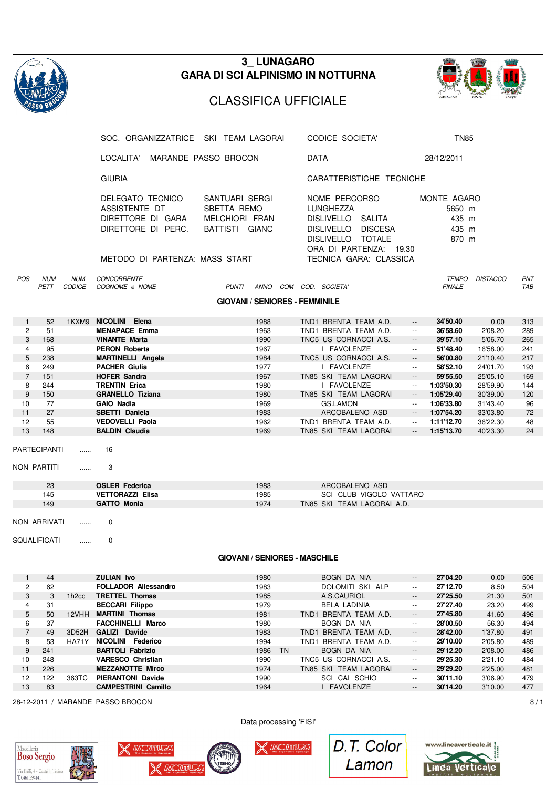

### **3\_ LUNAGARO GARA DI SCI ALPINISMO IN NOTTURNA**



## CLASSIFICA UFFICIALE

|                  |                                     |                   | SOC. ORGANIZZATRICE SKI TEAM LAGORAI                                                                           |                                                                          | CODICE SOCIETA'                                                                            |                                                  | <b>TN85</b>                                                 |                 |     |
|------------------|-------------------------------------|-------------------|----------------------------------------------------------------------------------------------------------------|--------------------------------------------------------------------------|--------------------------------------------------------------------------------------------|--------------------------------------------------|-------------------------------------------------------------|-----------------|-----|
|                  |                                     |                   | LOCALITA'                                                                                                      | MARANDE PASSO BROCON                                                     | DATA                                                                                       |                                                  | 28/12/2011                                                  |                 |     |
|                  |                                     |                   | <b>GIURIA</b>                                                                                                  |                                                                          |                                                                                            | CARATTERISTICHE TECNICHE                         |                                                             |                 |     |
|                  |                                     |                   | DELEGATO TECNICO<br>ASSISTENTE DT<br>DIRETTORE DI GARA<br>DIRETTORE DI PERC.<br>METODO DI PARTENZA: MASS START | SANTUARI SERGI<br><b>SBETTA REMO</b><br>MELCHIORI FRAN<br>BATTISTI GIANC | NOME PERCORSO<br>LUNGHEZZA<br>DISLIVELLO SALITA<br>DISLIVELLO DISCESA<br>DISLIVELLO TOTALE | ORA DI PARTENZA: 19.30<br>TECNICA GARA: CLASSICA | MONTE AGARO<br>5650 m<br>435 m<br>435 m<br>870 m            |                 |     |
| POS              | <b>NUM</b>                          | <b>NUM</b>        | <b>CONCORRENTE</b>                                                                                             |                                                                          |                                                                                            |                                                  | <b>TEMPO</b>                                                | <b>DISTACCO</b> | PNT |
|                  | PETT                                | CODICE            | COGNOME e NOME                                                                                                 | <b>PUNTI</b>                                                             | ANNO COM COD. SOCIETA'                                                                     |                                                  | <b>FINALE</b>                                               |                 | TAB |
|                  |                                     |                   |                                                                                                                | <b>GIOVANI / SENIORES - FEMMINILE</b>                                    |                                                                                            |                                                  |                                                             |                 |     |
| $\mathbf{1}$     | 52                                  |                   | 1KXM9 NICOLINI Elena                                                                                           | 1988                                                                     | TND1 BRENTA TEAM A.D.                                                                      |                                                  | 34'50.40<br>$\overline{\phantom{a}}$                        | 0.00            | 313 |
| $\overline{2}$   | 51                                  |                   | <b>MENAPACE Emma</b>                                                                                           | 1963                                                                     | TND1 BRENTA TEAM A.D.                                                                      |                                                  | 36'58.60<br>$\overline{\phantom{a}}$                        | 2'08.20         | 289 |
| 3                | 168                                 |                   | <b>VINANTE Marta</b>                                                                                           | 1990                                                                     | TNC5 US CORNACCI A.S.                                                                      |                                                  | 39'57.10<br>$\overline{\phantom{a}}$                        | 5'06.70         | 265 |
| 4                | 95                                  |                   | <b>PERON Roberta</b>                                                                                           | 1967                                                                     | I FAVOLENZE                                                                                |                                                  | 51'48.40<br>$\mathord{\hspace{1pt}\text{--}\hspace{1pt}}$   | 16'58.00        | 241 |
| 5                | 238                                 |                   | <b>MARTINELLI Angela</b>                                                                                       | 1984                                                                     | TNC5 US CORNACCI A.S.                                                                      |                                                  | 56'00.80<br>$\overline{\phantom{a}}$                        | 21'10.40        | 217 |
| 6                | 249                                 |                   | <b>PACHER Giulia</b>                                                                                           | 1977                                                                     | I FAVOLENZE                                                                                |                                                  | 58'52.10<br>$\overline{\phantom{a}}$                        | 24'01.70        | 193 |
| $\overline{7}$   | 151                                 |                   | <b>HOFER Sandra</b>                                                                                            | 1967                                                                     | TN85 SKI TEAM LAGORAI                                                                      |                                                  | 59'55.50<br>$\overline{\phantom{a}}$                        | 25'05.10        | 169 |
| 8                | 244                                 |                   | <b>TRENTIN Erica</b>                                                                                           | 1980                                                                     | I FAVOLENZE                                                                                |                                                  | 1:03'50.30<br>$\overline{\phantom{a}}$                      | 28'59.90        | 144 |
| 9                | 150                                 |                   | <b>GRANELLO Tiziana</b>                                                                                        | 1980                                                                     | TN85 SKI TEAM LAGORAI                                                                      |                                                  | 1:05'29.40<br>$\overline{\phantom{a}}$                      | 30'39.00        | 120 |
| 10               | 77                                  |                   | <b>GAIO Nadia</b>                                                                                              | 1969                                                                     | GS.LAMON                                                                                   |                                                  | 1:06'33.80<br>$\overline{\phantom{a}}$                      | 31'43.40        | 96  |
| 11               | 27                                  |                   | SBETTI Daniela                                                                                                 | 1983                                                                     |                                                                                            | ARCOBALENO ASD                                   | 1:07'54.20<br>$\overline{\phantom{a}}$                      | 33'03.80        | 72  |
| 12               | 55                                  |                   | <b>VEDOVELLI Paola</b>                                                                                         | 1962                                                                     | TND1 BRENTA TEAM A.D.                                                                      |                                                  | 1:11'12.70<br>$\mathord{\hspace{1pt}\text{--}\hspace{1pt}}$ | 36'22.30        | 48  |
| 13               | 148                                 |                   | <b>BALDIN Claudia</b>                                                                                          | 1969                                                                     | TN85 SKI TEAM LAGORAI                                                                      |                                                  | 1:15'13.70<br>$\overline{\phantom{a}}$                      | 40'23.30        | 24  |
|                  | <b>PARTECIPANTI</b><br>NON PARTITI  | .<br>.            | 16<br>3                                                                                                        |                                                                          |                                                                                            |                                                  |                                                             |                 |     |
|                  | 23                                  |                   | <b>OSLER Federica</b>                                                                                          | 1983                                                                     |                                                                                            | ARCOBALENO ASD                                   |                                                             |                 |     |
|                  | 145                                 |                   | <b>VETTORAZZI Elisa</b>                                                                                        | 1985                                                                     |                                                                                            | SCI CLUB VIGOLO VATTARO                          |                                                             |                 |     |
|                  | 149                                 |                   | <b>GATTO Monia</b>                                                                                             | 1974                                                                     |                                                                                            | TN85 SKI TEAM LAGORAI A.D.                       |                                                             |                 |     |
|                  | NON ARRIVATI<br><b>SQUALIFICATI</b> | .<br>.            | 0<br>0                                                                                                         |                                                                          |                                                                                            |                                                  |                                                             |                 |     |
|                  |                                     |                   |                                                                                                                | <b>GIOVANI / SENIORES - MASCHILE</b>                                     |                                                                                            |                                                  |                                                             |                 |     |
| $\mathbf{1}$     | 44                                  |                   | <b>ZULIAN Ivo</b>                                                                                              | 1980                                                                     | <b>BOGN DA NIA</b>                                                                         |                                                  | 27'04.20<br>$\overline{\phantom{a}}$                        | 0.00            | 506 |
| $\overline{c}$   | 62                                  |                   | <b>FOLLADOR Allessandro</b>                                                                                    | 1983                                                                     |                                                                                            | DOLOMITI SKI ALP                                 | 27'12.70<br>$\overline{\phantom{a}}$                        | 8.50            | 504 |
| 3                | 3                                   | 1h <sub>2cc</sub> | <b>TRETTEL Thomas</b>                                                                                          | 1985                                                                     | A.S.CAURIOL                                                                                |                                                  | 27'25.50<br>--                                              | 21.30           | 501 |
| 4                | 31                                  |                   | <b>BECCARI Filippo</b>                                                                                         | 1979                                                                     | <b>BELA LADINIA</b>                                                                        |                                                  | 27'27.40<br>$\overline{\phantom{a}}$                        | 23.20           | 499 |
| $\sqrt{5}$       | 50                                  | 12VHH             | <b>MARTINI Thomas</b>                                                                                          | 1981                                                                     | TND1 BRENTA TEAM A.D.                                                                      |                                                  | 27'45.80<br>$\overline{\phantom{a}}$                        | 41.60           | 496 |
| 6                | 37                                  |                   | <b>FACCHINELLI Marco</b>                                                                                       | 1980                                                                     | BOGN DA NIA                                                                                |                                                  | 28'00.50<br>$\overline{\phantom{a}}$                        | 56.30           | 494 |
| $\overline{7}$   | 49                                  | 3D52H             | GALIZI Davide                                                                                                  | 1983                                                                     | TND1 BRENTA TEAM A.D.                                                                      |                                                  | 28'42.00<br>$\overline{\phantom{a}}$                        | 1'37.80         | 491 |
| 8                | 53                                  | HA71Y             | NICOLINI Federico                                                                                              | 1994                                                                     | TND1 BRENTA TEAM A.D.                                                                      |                                                  | 29'10.00<br>$\overline{\phantom{a}}$                        | 2'05.80         | 489 |
| $\boldsymbol{9}$ | 241                                 |                   | <b>BARTOLI Fabrizio</b>                                                                                        | 1986 TN                                                                  | bogn da nia                                                                                |                                                  | 29'12.20<br>$\overline{\phantom{a}}$                        | 2'08.00         | 486 |
| 10               | 248                                 |                   | <b>VARESCO Christian</b>                                                                                       | 1990                                                                     | TNC5 US CORNACCI A.S.                                                                      |                                                  | 29'25.30<br>$\overline{\phantom{a}}$                        | 2'21.10         | 484 |
| 11               | 226                                 |                   | <b>MEZZANOTTE Mirco</b>                                                                                        | 1974                                                                     | TN85 SKI TEAM LAGORAI                                                                      |                                                  | 29'29.20<br>$\overline{\phantom{a}}$                        | 2'25.00         | 481 |
| 12               | 122                                 | 363TC             | <b>PIERANTONI Davide</b>                                                                                       | 1990                                                                     | SCI CAI SCHIO                                                                              |                                                  | 30'11.10<br>$\overline{\phantom{a}}$                        | 3'06.90         | 479 |
| 13               | 83                                  |                   | <b>CAMPESTRINI Camillo</b>                                                                                     | 1964                                                                     | I FAVOLENZE                                                                                |                                                  | 30'14.20<br>$\overline{\phantom{a}}$                        | 3'10.00         | 477 |
|                  |                                     |                   | 28-12-2011 / MARANDE PASSO BROCON                                                                              |                                                                          |                                                                                            |                                                  |                                                             |                 | 8/1 |
|                  |                                     |                   |                                                                                                                | Data processing 'FISI'                                                   |                                                                                            |                                                  |                                                             |                 |     |







**X** MICROTURE



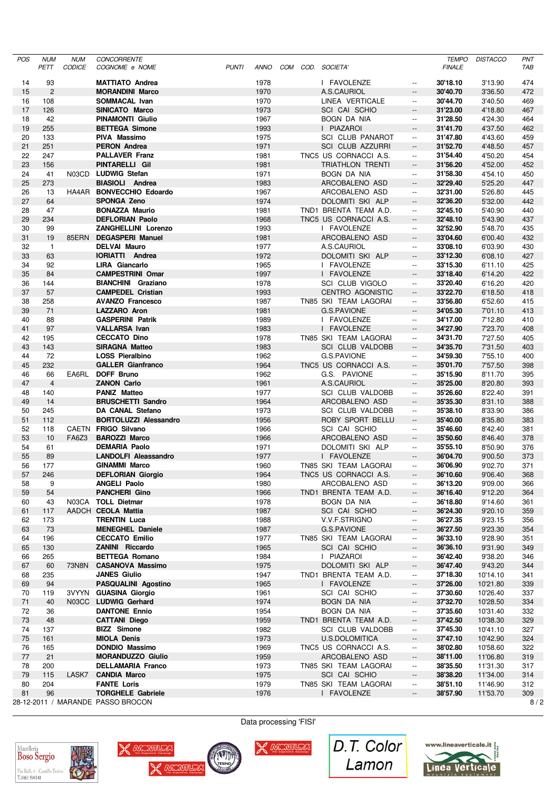| <b>POS</b> | <b>NUM</b>     | <b>NUM</b> | <b>CONCORRENTE</b>                                  |              |              |  |                                           |                                                      | <b>TEMPO</b>         | <b>DISTACCO</b>      | PNT        |
|------------|----------------|------------|-----------------------------------------------------|--------------|--------------|--|-------------------------------------------|------------------------------------------------------|----------------------|----------------------|------------|
|            | PETT           | CODICE     | COGNOME e NOME                                      | <b>PUNTI</b> | ANNO         |  | COM COD. SOCIETA'                         |                                                      | <b>FINALE</b>        |                      | TAB        |
| 14         | 93             |            | <b>MATTIATO Andrea</b>                              |              | 1978         |  | I FAVOLENZE                               | $\overline{\phantom{a}}$                             | 30'18.10             | 3'13.90              | 474        |
| 15         | 2              |            | <b>MORANDINI Marco</b>                              |              | 1970         |  | A.S.CAURIOL                               | $\overline{\phantom{a}}$                             | 30'40.70             | 3'36.50              | 472        |
| 16         | 108            |            | SOMMACAL Ivan                                       |              | 1970         |  | LINEA VERTICALE                           | $\overline{\phantom{a}}$                             | 30'44.70             | 3'40.50              | 469        |
| 17         | 126            |            | SINICATO Marco                                      |              | 1973         |  | SCI CAI SCHIO                             | $\overline{\phantom{a}}$                             | 31'23.00             | 4'18.80              | 467        |
| 18         | 42             |            | <b>PINAMONTI Giulio</b>                             |              | 1967         |  | BOGN DA NIA                               | $\overline{\phantom{a}}$                             | 31'28.50             | 4'24.30              | 464        |
| 19         | 255            |            | <b>BETTEGA Simone</b>                               |              | 1993         |  | I PIAZAROI                                | $\overline{\phantom{a}}$                             | 31'41.70             | 4'37.50              | 462        |
| 20         | 133            |            | PIVA Massimo                                        |              | 1975         |  | SCI CLUB PANAROT                          | $\overline{\phantom{a}}$                             | 31'47.80             | 4'43.60              | 459        |
| 21         | 251            |            | <b>PERON Andrea</b>                                 |              | 1971         |  | <b>SCI CLUB AZZURRI</b>                   | $\overline{\phantom{a}}$                             | 31'52.70             | 4'48.50              | 457        |
| 22<br>23   | 247<br>156     |            | <b>PALLAVER Franz</b><br>PINTARELLI Gil             |              | 1981<br>1981 |  | TNC5 US CORNACCI A.S.<br>TRIATHLON TRENTI | $\overline{\phantom{a}}$<br>$\overline{\phantom{a}}$ | 31'54.40<br>31'56.20 | 4'50.20<br>4'52.00   | 454<br>452 |
| 24         | 41             | N03CD      | LUDWIG Stefan                                       |              | 1971         |  | BOGN DA NIA                               | $\overline{\phantom{a}}$                             | 31'58.30             | 4'54.10              | 450        |
| 25         | 273            |            | <b>BIASIOLI</b> Andrea                              |              | 1983         |  | ARCOBALENO ASD                            | $\overline{\phantom{a}}$                             | 32'29.40             | 5'25.20              | 447        |
| 26         | 13             |            | HA4AR BONVECCHIO Edoardo                            |              | 1967         |  | ARCOBALENO ASD                            | $\overline{\phantom{a}}$                             | 32'31.00             | 5'26.80              | 445        |
| 27         | 64             |            | <b>SPONGA Zeno</b>                                  |              | 1974         |  | DOLOMITI SKI ALP                          | $\overline{\phantom{a}}$                             | 32'36.20             | 5'32.00              | 442        |
| 28         | 47             |            | <b>BONAZZA Maurio</b>                               |              | 1981         |  | TND1 BRENTA TEAM A.D.                     | $\overline{\phantom{a}}$                             | 32'45.10             | 5'40.90              | 440        |
| 29         | 234            |            | <b>DEFLORIAN Paolo</b>                              |              | 1968         |  | TNC5 US CORNACCI A.S.                     | $\overline{\phantom{a}}$                             | 32'48.10             | 5'43.90              | 437        |
| 30         | 99             |            | ZANGHELLINI Lorenzo                                 |              | 1993         |  | I FAVOLENZE                               | $\overline{\phantom{a}}$                             | 32'52.90             | 5'48.70              | 435        |
| 31         | 19             |            | 85ERN DEGASPERI Manuel                              |              | 1981         |  | ARCOBALENO ASD                            | $\overline{\phantom{a}}$                             | 33'04.60             | 6'00.40              | 432        |
| 32         | $\overline{1}$ |            | <b>DELVAI Mauro</b>                                 |              | 1977         |  | A.S.CAURIOL                               | $\overline{\phantom{a}}$                             | 33'08.10             | 6'03.90              | 430        |
| 33         | 63             |            | <b>IORIATTI Andrea</b>                              |              | 1972         |  | DOLOMITI SKI ALP                          | $\overline{\phantom{a}}$                             | 33'12.30             | 6'08.10              | 427        |
| 34         | 92             |            | <b>LIRA Giancarlo</b>                               |              | 1965         |  | I FAVOLENZE                               | $\overline{\phantom{a}}$                             | 33'15.30             | 6'11.10              | 425        |
| 35         | 84             |            | <b>CAMPESTRINI Omar</b>                             |              | 1997         |  | I FAVOLENZE                               | $\overline{\phantom{a}}$                             | 33'18.40             | 6'14.20              | 422        |
| 36         | 144            |            | <b>BIANCHINI Graziano</b>                           |              | 1978         |  | SCI CLUB VIGOLO                           | $\overline{\phantom{a}}$                             | 33'20.40             | 6'16.20              | 420        |
| 37         | 57             |            | <b>CAMPEDEL Cristian</b>                            |              | 1993         |  | CENTRO AGONISTIC                          | $\overline{\phantom{a}}$                             | 33'22.70             | 6'18.50              | 418        |
| 38         | 258            |            | <b>AVANZO Francesco</b>                             |              | 1987         |  | TN85 SKI TEAM LAGORAI                     | $\overline{\phantom{a}}$                             | 33'56.80             | 6'52.60              | 415        |
| 39         | 71             |            | LAZZARO Aron                                        |              | 1981         |  | G.S.PAVIONE                               | $\overline{\phantom{a}}$                             | 34'05.30             | 7'01.10              | 413        |
| 40         | 88             |            | <b>GASPERINI Patrik</b>                             |              | 1989         |  | I FAVOLENZE                               | $\overline{\phantom{a}}$                             | 34'17.00             | 7'12.80              | 410        |
| 41         | 97             |            | <b>VALLARSA Ivan</b>                                |              | 1983         |  | I FAVOLENZE                               | $\overline{\phantom{a}}$                             | 34'27.90             | 7'23.70              | 408        |
| 42         | 195            |            | <b>CECCATO Dino</b>                                 |              | 1978         |  | TN85 SKI TEAM LAGORAI                     | $\overline{\phantom{a}}$                             | 34'31.70             | 7'27.50              | 405        |
| 43         | 143            |            | <b>SIRAGNA Matteo</b>                               |              | 1983         |  | SCI CLUB VALDOBB                          | $\overline{\phantom{a}}$                             | 34'35.70             | 7'31.50              | 403        |
| 44         | 72             |            | <b>LOSS Pieralbino</b>                              |              | 1962         |  | G.S.PAVIONE                               | $\overline{\phantom{a}}$                             | 34'59.30             | 7'55.10              | 400        |
| 45         | 232            |            | <b>GALLER Gianfranco</b>                            |              | 1964         |  | TNC5 US CORNACCI A.S.                     | $\overline{\phantom{a}}$                             | 35'01.70             | 7'57.50              | 398        |
| 46         | 66             | EA6RL      | DOFF Bruno                                          |              | 1962         |  | G.S. PAVIONE                              | $\overline{\phantom{a}}$                             | 35'15.90             | 8'11.70              | 395        |
| 47         | $\overline{4}$ |            | <b>ZANON Carlo</b>                                  |              | 1961         |  | A.S.CAURIOL                               | $\overline{\phantom{a}}$                             | 35'25.00             | 8'20.80              | 393        |
| 48         | 140            |            | <b>PANIZ Matteo</b>                                 |              | 1977         |  | SCI CLUB VALDOBB                          | $\overline{\phantom{a}}$                             | 35'26.60             | 8'22.40              | 391        |
| 49         | 14             |            | <b>BRUSCHETTI Sandro</b>                            |              | 1964         |  | ARCOBALENO ASD                            | $\overline{\phantom{a}}$                             | 35'35.30             | 8'31.10              | 388        |
| 50         | 245            |            | DA CANAL Stefano                                    |              | 1973         |  | <b>SCI CLUB VALDOBB</b>                   | $\overline{\phantom{a}}$                             | 35'38.10             | 8'33.90              | 386        |
| 51         | 112            |            | <b>BORTOLUZZI Alessandro</b><br>CAETN FRIGO Silvano |              | 1956         |  | ROBY SPORT BELLU                          | $\overline{\phantom{a}}$                             | 35'40.00             | 8'35.80              | 383        |
| 52<br>53   | 118<br>10      | FA6Z3      | <b>BAROZZI Marco</b>                                |              | 1966<br>1966 |  | SCI CAI SCHIO                             | $\overline{\phantom{a}}$                             | 35'46.60             | 8'42.40              | 381        |
| 54         | 61             |            | <b>DEMARIA Paolo</b>                                |              | 1971         |  | ARCOBALENO ASD<br>DOLOMITI SKI ALP        | $\overline{\phantom{a}}$<br>$\overline{\phantom{a}}$ | 35'50.60<br>35'55.10 | 8'46.40<br>8'50.90   | 378<br>376 |
| 55         | 89             |            | <b>LANDOLFI Aleassandro</b>                         |              | 1977         |  | I FAVOLENZE                               | $\overline{\phantom{a}}$                             | 36'04.70             | 9'00.50              | 373        |
| 56         | 177            |            | <b>GINAMMI Marco</b>                                |              | 1960         |  | TN85 SKI TEAM LAGORAI                     | $\overline{\phantom{a}}$                             | 36'06.90             | 9'02.70              | 371        |
| 57         | 246            |            | <b>DEFLORIAN Giorgio</b>                            |              | 1964         |  | TNC5 US CORNACCI A.S.                     |                                                      | 36'10.60             | 9'06.40              | 368        |
| 58         | 9              |            | <b>ANGELI Paolo</b>                                 |              | 1980         |  | ARCOBALENO ASD                            | $\overline{\phantom{a}}$                             | 36'13.20             | 9'09.00              | 366        |
| 59         | 54             |            | <b>PANCHERI Gino</b>                                |              | 1966         |  | TND1 BRENTA TEAM A.D.                     | $\overline{\phantom{a}}$                             | 36'16.40             | 9'12.20              | 364        |
| 60         | 43             |            | N03CA TOLL Dietmar                                  |              | 1978         |  | BOGN DA NIA                               | $\overline{\phantom{a}}$                             | 36'18.80             | 9'14.60              | 361        |
| 61         | 117            |            | AADCH CEOLA Mattia                                  |              | 1987         |  | SCI CAI SCHIO                             | $\overline{\phantom{a}}$                             | 36'24.30             | 9'20.10              | 359        |
| 62         | 173            |            | <b>TRENTIN Luca</b>                                 |              | 1988         |  | V.V.F.STRIGNO                             | $\overline{\phantom{a}}$                             | 36'27.35             | 9'23.15              | 356        |
| 63         | 73             |            | <b>MENEGHEL Daniele</b>                             |              | 1987         |  | G.S.PAVIONE                               | $\overline{\phantom{a}}$                             | 36'27.50             | 9'23.30              | 354        |
| 64         | 196            |            | <b>CECCATO Emilio</b>                               |              | 1977         |  | TN85 SKI TEAM LAGORAI                     | $\overline{\phantom{a}}$                             | 36'33.10             | 9'28.90              | 351        |
| 65         | 130            |            | <b>ZANINI Riccardo</b>                              |              | 1965         |  | SCI CAI SCHIO                             | $\overline{\phantom{a}}$                             | 36'36.10             | 9'31.90              | 349        |
| 66         | 265            |            | <b>BETTEGA Romano</b>                               |              | 1984         |  | I PIAZAROI                                | $\overline{\phantom{a}}$                             | 36'42.40             | 9'38.20              | 346        |
| 67         | 60             | 73N8N      | <b>CASANOVA Massimo</b>                             |              | 1975         |  | DOLOMITI SKI ALP                          | --                                                   | 36'47.40             | 9'43.20              | 344        |
| 68         | 235            |            | <b>JANES Giulio</b>                                 |              | 1947         |  | TND1 BRENTA TEAM A.D.                     | $\overline{\phantom{a}}$                             | 37'18.30             | 10'14.10             | 341        |
| 69         | 94             |            | PASQUALINI Agostino                                 |              | 1965         |  | I FAVOLENZE                               | $\overline{\phantom{a}}$                             | 37'26.00             | 10'21.80             | 339        |
| 70         | 119            |            | 3VYYN GUASINA Giorgio                               |              | 1961         |  | SCI CAI SCHIO                             | $\overline{\phantom{a}}$                             | 37'30.60             | 10'26.40             | 337        |
| 71         | 40             |            | N03CC LUDWIG Gerhard                                |              | 1974         |  | BOGN DA NIA                               | $\overline{\phantom{a}}$                             | 37'32.70             | 10'28.50             | 334        |
| 72         | 36             |            | <b>DANTONE Ennio</b>                                |              | 1954         |  | BOGN DA NIA                               | $\overline{\phantom{a}}$                             | 37'35.60             | 10'31.40             | 332        |
| 73         | 48             |            | <b>CATTANI Diego</b>                                |              | 1959         |  | TND1 BRENTA TEAM A.D.                     | $\overline{\phantom{a}}$                             | 37'42.50             | 10'38.30             | 329        |
| 74         | 137            |            | <b>BIZZ</b> Simone                                  |              | 1982         |  | <b>SCI CLUB VALDOBB</b>                   | $\overline{\phantom{a}}$                             | 37'45.30             | 10'41.10             | 327        |
| 75         | 161            |            | <b>MIOLA Denis</b>                                  |              | 1973         |  | U.S.DOLOMITICA                            | $\overline{\phantom{a}}$                             | 37'47.10             | 10'42.90             | 324        |
| 76         | 165            |            | <b>DONDIO Massimo</b>                               |              | 1969         |  | TNC5 US CORNACCI A.S.                     | --                                                   | 38'02.80             | 10'58.60             | 322        |
| 77         | 21             |            | <b>MORANDUZZO Giulio</b>                            |              | 1959         |  | ARCOBALENO ASD                            | н.                                                   | 38'11.00             | 11'06.80             | 319        |
| 78<br>79   | 200<br>115     | LASK7      | <b>DELLAMARIA Franco</b><br><b>CANDIA Marco</b>     |              | 1973<br>1975 |  | TN85 SKI TEAM LAGORAI<br>SCI CAI SCHIO    | $\overline{\phantom{a}}$                             | 38'35.50<br>38'38.20 | 11'31.30<br>11'34.00 | 317<br>314 |
| 80         | 204            |            | <b>FANTE Loris</b>                                  |              | 1979         |  | TN85 SKI TEAM LAGORAI                     | $\overline{\phantom{a}}$<br>--                       | 38'51.10             | 11'46.90             | 312        |
| 81         | 96             |            | <b>TORGHELE Gabriele</b>                            |              | 1976         |  | I FAVOLENZE                               | --                                                   | 38'57.90             | 11'53.70             | 309        |
|            |                |            | 28-12-2011 / MARANDE PASSO BROCON                   |              |              |  |                                           |                                                      |                      |                      | 8/2        |
|            |                |            |                                                     |              |              |  |                                           |                                                      |                      |                      |            |









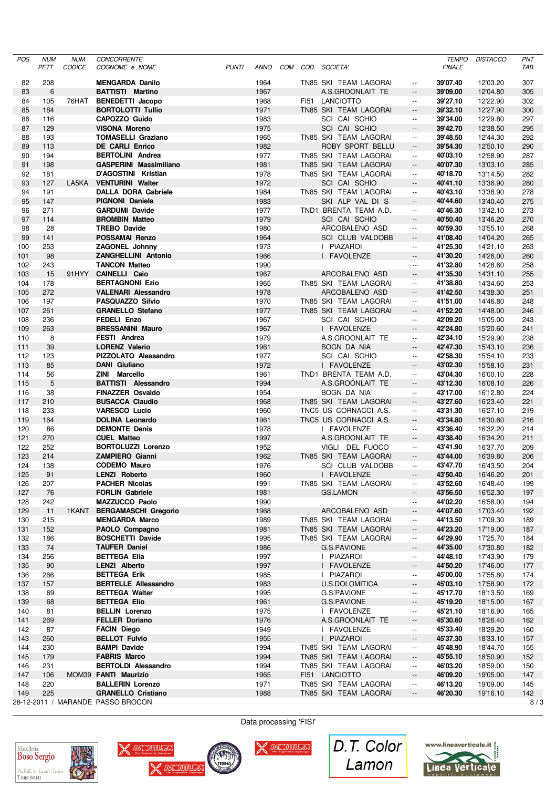| POS        | <b>NUM</b><br>PETT | <b>NUM</b><br>CODICE | <b>CONCORRENTE</b><br>COGNOME e NOME                 | <b>PUNTI</b> | ANNO         |  | COM COD. SOCIETA'                    |                                                      | <b>TEMPO</b><br><b>FINALE</b> | <b>DISTACCO</b>      | PNT<br>TAB |
|------------|--------------------|----------------------|------------------------------------------------------|--------------|--------------|--|--------------------------------------|------------------------------------------------------|-------------------------------|----------------------|------------|
|            |                    |                      |                                                      |              |              |  |                                      |                                                      |                               |                      |            |
| 82         | 208                |                      | <b>MENGARDA Danilo</b><br><b>BATTISTI Martino</b>    |              | 1964         |  | TN85 SKI TEAM LAGORAI                | $\overline{\phantom{a}}$                             | 39'07.40                      | 12'03.20             | 307        |
| 83<br>84   | 6<br>105           | 76HAT                | <b>BENEDETTI Jacopo</b>                              |              | 1967<br>1968 |  | A.S.GROONLAIT TE<br>FI51 LANCIOTTO   | $\overline{\phantom{a}}$<br>$\overline{\phantom{a}}$ | 39'09.00<br>39'27.10          | 12'04.80<br>12'22.90 | 305<br>302 |
| 85         | 184                |                      | <b>BORTOLOTTI Tullio</b>                             |              | 1971         |  | TN85 SKI TEAM LAGORAI                | $\overline{\phantom{a}}$                             | 39'32.10                      | 12'27.90             | 300        |
| 86         | 116                |                      | CAPOZZO Guido                                        |              | 1983         |  | SCI CAI SCHIO                        | $\overline{\phantom{a}}$                             | 39'34.00                      | 12'29.80             | 297        |
| 87         | 129                |                      | <b>VISONA Moreno</b>                                 |              | 1975         |  | SCI CAI SCHIO                        | $\overline{\phantom{a}}$                             | 39'42.70                      | 12'38.50             | 295        |
| 88         | 193                |                      | <b>TOMASELLI Graziano</b>                            |              | 1965         |  | TN85 SKI TEAM LAGORAI                | $\overline{\phantom{a}}$                             | 39'48.50                      | 12'44.30             | 292        |
| 89         | 113                |                      | <b>DE CARLI Enrico</b>                               |              | 1982         |  | ROBY SPORT BELLU                     | $\overline{\phantom{a}}$                             | 39'54.30                      | 12'50.10             | 290        |
| 90         | 194                |                      | <b>BERTOLINI</b> Andrea                              |              | 1977         |  | TN85 SKI TEAM LAGORAI                | $\overline{\phantom{a}}$                             | 40'03.10                      | 12'58.90             | 287        |
| 91         | 198                |                      | <b>GASPERINI Massimiliano</b>                        |              | 1981         |  | TN85 SKI TEAM LAGORAI                | $\overline{\phantom{a}}$                             | 40'07.30                      | 13'03.10             | 285        |
| 92         | 181                |                      | D'AGOSTINI Kristian                                  |              | 1978         |  | TN85 SKI TEAM LAGORAI                | $\overline{\phantom{a}}$                             | 40'18.70                      | 13'14.50             | 282        |
| 93         | 127                | LA5KA                | <b>VENTURINI Walter</b>                              |              | 1972         |  | <b>SCI CAI SCHIO</b>                 | $\overline{\phantom{a}}$                             | 40'41.10                      | 13'36.90             | 280        |
| 94         | 191                |                      | <b>DALLA DORA Gabriele</b>                           |              | 1984         |  | TN85 SKI TEAM LAGORAI                | $\overline{\phantom{a}}$                             | 40'43.10                      | 13'38.90             | 278        |
| 95         | 147                |                      | <b>PIGNONI Daniele</b>                               |              | 1983         |  | SKI ALP VAL DI S                     | $\overline{\phantom{a}}$                             | 40'44.60                      | 13'40.40             | 275        |
| 96         | 271                |                      | <b>GARDUMI Davide</b>                                |              | 1977         |  | TND1 BRENTA TEAM A.D.                | $\overline{\phantom{a}}$                             | 40'46.30                      | 13'42.10             | 273        |
| 97         | 114                |                      | <b>BROMBIN Matteo</b>                                |              | 1979         |  | SCI CAI SCHIO                        | $\overline{\phantom{a}}$                             | 40'50.40                      | 13'46.20             | 270        |
| 98         | 28                 |                      | <b>TREBO Davide</b>                                  |              | 1980         |  | ARCOBALENO ASD                       | $\overline{\phantom{a}}$                             | 40'59.30                      | 13'55.10             | 268        |
| 99         | 141                |                      | POSSAMAI Renzo                                       |              | 1964         |  | SCI CLUB VALDOBB                     | $\overline{\phantom{a}}$                             | 41'08.40                      | 14'04.20             | 265        |
| 100        | 253                |                      | <b>ZAGONEL Johnny</b>                                |              | 1973         |  | I PIAZAROI                           | $\overline{\phantom{a}}$                             | 41'25.30                      | 14'21.10             | 263        |
| 101        | 98                 |                      | <b>ZANGHELLINI Antonio</b>                           |              | 1966         |  | I FAVOLENZE                          | $\overline{\phantom{a}}$                             | 41'30.20                      | 14'26.00             | 260        |
| 102        | 243                |                      | <b>TANCON Matteo</b>                                 |              | 1990         |  |                                      | $\overline{\phantom{a}}$                             | 41'32.80                      | 14'28.60             | 258        |
| 103        | 15                 | 91HYY                | <b>CAINELLI Caio</b>                                 |              | 1967         |  | ARCOBALENO ASD                       | $\overline{\phantom{a}}$                             | 41'35.30                      | 14'31.10             | 255        |
| 104        | 178                |                      | <b>BERTAGNONI Ezio</b>                               |              | 1965         |  | TN85 SKI TEAM LAGORAI                | $\overline{\phantom{a}}$                             | 41'38.80                      | 14'34.60             | 253        |
| 105        | 272                |                      | <b>VALENARI Alessandro</b>                           |              | 1978         |  | ARCOBALENO ASD                       | $\overline{\phantom{a}}$                             | 41'42.50                      | 14'38.30             | 251        |
| 106        | 197                |                      | PASQUAZZO Silvio                                     |              | 1970         |  | TN85 SKI TEAM LAGORAI                | $\overline{\phantom{a}}$                             | 41'51.00                      | 14'46.80             | 248        |
| 107        | 261                |                      | <b>GRANELLO Stefano</b>                              |              | 1977         |  | TN85 SKI TEAM LAGORAI                | $\overline{\phantom{a}}$                             | 41'52.20                      | 14'48.00             | 246        |
| 108        | 236                |                      | <b>FEDELI Enzo</b>                                   |              | 1967         |  | SCI CAI SCHIO                        | $\overline{\phantom{a}}$                             | 42'09.20                      | 15'05.00             | 243        |
| 109        | 263                |                      | <b>BRESSANINI Mauro</b>                              |              | 1967         |  | I FAVOLENZE                          | $\overline{\phantom{a}}$                             | 42'24.80                      | 15'20.60             | 241        |
| 110        | 8                  |                      | FESTI Andrea                                         |              | 1979         |  | A.S.GROONLAIT TE                     | $\overline{\phantom{a}}$                             | 42'34.10                      | 15'29.90             | 238        |
| 111        | 39                 |                      | <b>LORENZ Valerio</b>                                |              | 1961         |  | BOGN DA NIA                          | --                                                   | 42'47.30                      | 15'43.10             | 236        |
| 112        | 123                |                      | PIZZOLATO Alessandro                                 |              | 1977         |  | SCI CAI SCHIO                        | $\overline{\phantom{a}}$                             | 42'58.30                      | 15'54.10             | 233        |
| 113        | 85                 |                      | <b>DANI</b> Giuliano                                 |              | 1972         |  | I FAVOLENZE                          | $\overline{\phantom{a}}$                             | 43'02.30                      | 15'58.10             | 231        |
| 114        | 56                 |                      | ZINI Marcello                                        |              | 1961         |  | TND1 BRENTA TEAM A.D.                | $\overline{\phantom{a}}$                             | 43'04.30                      | 16'00.10             | 228        |
| 115        | 5                  |                      | <b>BATTISTI Alessandro</b>                           |              | 1994         |  | A.S.GROONLAIT TE                     | $\overline{\phantom{a}}$                             | 43'12.30                      | 16'08.10             | 226        |
| 116        | 38                 |                      | <b>FINAZZER Osvaldo</b>                              |              | 1954         |  | BOGN DA NIA                          | $\overline{\phantom{a}}$                             | 43'17.00                      | 16'12.80             | 224        |
| 117        | 210                |                      | <b>BUSACCA Claudio</b>                               |              | 1968         |  | TN85 SKI TEAM LAGORAI                | $\overline{\phantom{a}}$                             | 43'27.60                      | 16'23.40             | 221        |
| 118        | 233                |                      | <b>VARESCO Lucio</b>                                 |              | 1960         |  | TNC5 US CORNACCI A.S.                | $\overline{\phantom{a}}$                             | 43'31.30                      | 16'27.10             | 219        |
| 119        | 164                |                      | <b>DOLINA Leonardo</b>                               |              | 1961         |  | TNC5 US CORNACCI A.S.                | --                                                   | 43'34.80                      | 16'30.60             | 216        |
| 120        | 86                 |                      | <b>DEMONTE Denis</b>                                 |              | 1978         |  | I FAVOLENZE                          | $\overline{\phantom{a}}$                             | 43'36.40                      | 16'32.20             | 214        |
| 121        | 270                |                      | <b>CUEL Matteo</b>                                   |              | 1997         |  | A.S.GROONLAIT TE                     | $\overline{\phantom{a}}$                             | 43'38.40                      | 16'34.20             | 211        |
| 122        | 252                |                      | <b>BORTOLUZZI Lorenzo</b>                            |              | 1952         |  | VIGLI DEL FUOCO                      | $\overline{\phantom{a}}$                             | 43'41.90                      | 16'37.70             | 209        |
| 123        | 214                |                      | <b>ZAMPIERO Gianni</b>                               |              | 1962         |  | TN85 SKI TEAM LAGORAI                | $\overline{\phantom{a}}$                             | 43'44.00                      | 16'39.80             | 206        |
| 124        | 138                |                      | <b>CODEMO Mauro</b>                                  |              | 1976         |  | <b>SCI CLUB VALDOBB</b>              | $\overline{\phantom{a}}$                             | 43'47.70                      | 16'43.50             | 204        |
| 125        | 91                 |                      | <b>LENZI Roberto</b>                                 |              | 1960         |  | I FAVOLENZE                          |                                                      | 43'50.40                      | 16'46.20             | 201        |
| 126        | 207                |                      | <b>PACHER Nicolas</b>                                |              | 1991         |  | TN85 SKI TEAM LAGORAI                | --                                                   | 43'52.60                      | 16'48.40             | 199        |
| 127        | 76                 |                      | <b>FORLIN Gabriele</b>                               |              | 1981         |  | GS.LAMON                             |                                                      | 43'56.50                      | 16'52.30             | 197        |
| 128        | 242                |                      | <b>MAZZUCCO Paolo</b>                                |              | 1990         |  |                                      | --                                                   | 44'02.20                      | 16'58.00             | 194        |
| 129        | 11                 | 1KANT                | <b>BERGAMASCHI Gregorio</b><br><b>MENGARDA Marco</b> |              | 1968         |  | ARCOBALENO ASD                       | --                                                   | 44'07.60<br>44'13.50          | 17'03.40             | 192        |
| 130        | 215                |                      | PAOLO Compagno                                       |              | 1989<br>1981 |  | TN85 SKI TEAM LAGORAI                | $\overline{\phantom{a}}$                             | 44'23.20                      | 17'09.30             | 189        |
| 131        | 152<br>186         |                      |                                                      |              |              |  | TN85 SKI TEAM LAGORAI                | $\overline{\phantom{a}}$                             | 44'29.90                      | 17'19.00             | 187        |
| 132<br>133 | 74                 |                      | <b>BOSCHETTI Davide</b><br><b>TAUFER Daniel</b>      |              | 1995<br>1986 |  | TN85 SKI TEAM LAGORAI<br>G.S.PAVIONE | --<br>--                                             | 44'35.00                      | 17'25.70<br>17'30.80 | 184<br>182 |
| 134        | 256                |                      | <b>BETTEGA Elia</b>                                  |              | 1997         |  | I PIAZAROI                           | $\overline{\phantom{a}}$                             | 44'48.10                      | 17'43.90             | 179        |
| 135        | 90                 |                      | <b>LENZI Alberto</b>                                 |              | 1997         |  | I FAVOLENZE                          | $\overline{\phantom{a}}$                             | 44'50.20                      | 17'46.00             | 177        |
| 136        | 266                |                      | <b>BETTEGA Erik</b>                                  |              | 1985         |  | I PIAZAROI                           | $\overline{\phantom{a}}$                             | 45'00.00                      | 17'55.80             | 174        |
| 137        | 157                |                      | <b>BERTELLE Allessandro</b>                          |              | 1983         |  | U.S.DOLOMITICA                       | --                                                   | 45'03.10                      | 17'58.90             | 172        |
| 138        | 69                 |                      | <b>BETTEGA Walter</b>                                |              | 1995         |  | G.S.PAVIONE                          | --                                                   | 45'17.70                      | 18'13.50             | 169        |
| 139        | 68                 |                      | <b>BETTEGA Elio</b>                                  |              | 1961         |  | G.S.PAVIONE                          | $\overline{\phantom{a}}$                             | 45'19.20                      | 18'15.00             | 167        |
| 140        | 81                 |                      | <b>BELLIN Lorenzo</b>                                |              | 1975         |  | I FAVOLENZE                          | $\overline{\phantom{a}}$                             | 45'21.10                      | 18'16.90             | 165        |
| 141        | 269                |                      | <b>FELLER Doriano</b>                                |              | 1976         |  | A.S.GROONLAIT TE                     | --                                                   | 45'30.60                      | 18'26.40             | 162        |
| 142        | 87                 |                      | <b>FACIN Diego</b>                                   |              | 1949         |  | I FAVOLENZE                          | $\overline{\phantom{a}}$                             | 45'33.40                      | 18'29.20             | 160        |
| 143        | 260                |                      | <b>BELLOT Fulvio</b>                                 |              | 1955         |  | I PIAZAROI                           |                                                      | 45'37.30                      | 18'33.10             | 157        |
| 144        | 230                |                      | <b>BAMPI Davide</b>                                  |              | 1994         |  | TN85 SKI TEAM LAGORAI                | --                                                   | 45'48.90                      | 18'44.70             | 155        |
| 145        | 179                |                      | <b>FABRIS Marco</b>                                  |              | 1994         |  | TN85 SKI TEAM LAGORAI                | --                                                   | 45'55.10                      | 18'50.90             | 152        |
| 146        | 231                |                      | <b>BERTOLDI Alessandro</b>                           |              | 1994         |  | TN85 SKI TEAM LAGORAI                | $\overline{\phantom{a}}$                             | 46'03.20                      | 18'59.00             | 150        |
| 147        | 106                |                      | MOM39 FANTI Maurizio                                 |              | 1965         |  | FI51 LANCIOTTO                       | --                                                   | 46'09.20                      | 19'05.00             | 147        |
| 148        | 220                |                      | <b>BALLERIN Lorenzo</b>                              |              | 1971         |  | TN85 SKI TEAM LAGORAI                | $\overline{\phantom{a}}$                             | 46'13.20                      | 19'09.00             | 145        |
| 149        | 225                |                      | <b>GRANELLO Cristiano</b>                            |              | 1988         |  | TN85 SKI TEAM LAGORAI                | --                                                   | 46'20.30                      | 19'16.10             | 142        |
|            |                    |                      | 28-12-2011 / MARANDE PASSO BROCON                    |              |              |  |                                      |                                                      |                               |                      | 8/3        |





X WONTERS

**CAPTI** 



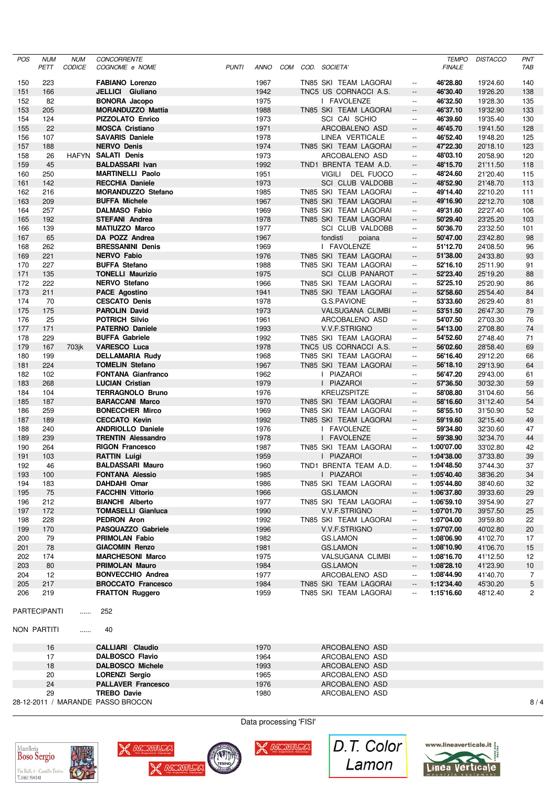| <b>POS</b> | <b>NUM</b>                         | <b>NUM</b>    | CONCORRENTE                                     |              |              |            |                                                |                                                      | <b>TEMPO</b>         | <b>DISTACCO</b>      | PNT             |
|------------|------------------------------------|---------------|-------------------------------------------------|--------------|--------------|------------|------------------------------------------------|------------------------------------------------------|----------------------|----------------------|-----------------|
|            | PETT                               | <b>CODICE</b> | COGNOME e NOME                                  | <b>PUNTI</b> | <b>ANNO</b>  | <b>COM</b> | COD. SOCIETA'                                  |                                                      | <b>FINALE</b>        |                      | TAB             |
| 150        | 223                                |               | <b>FABIANO Lorenzo</b>                          |              | 1967         |            | TN85 SKI TEAM LAGORAI                          | $\overline{\phantom{a}}$                             | 46'28.80             | 19'24.60             | 140             |
| 151        | 166                                |               | JELLICI Giuliano                                |              | 1942         |            | TNC5 US CORNACCI A.S.                          | $\overline{\phantom{a}}$                             | 46'30.40             | 19'26.20             | 138             |
| 152        | 82                                 |               | <b>BONORA Jacopo</b>                            |              | 1975         |            | I FAVOLENZE                                    | $\overline{\phantom{a}}$                             | 46'32.50             | 19'28.30             | 135             |
| 153        | 205                                |               | <b>MORANDUZZO Mattia</b>                        |              | 1988         |            | TN85 SKI TEAM LAGORAI                          | $\overline{\phantom{a}}$                             | 46'37.10             | 19'32.90             | 133             |
| 154        | 124                                |               | PIZZOLATO Enrico                                |              | 1973         |            | SCI CAI SCHIO                                  | $\overline{\phantom{a}}$                             | 46'39.60             | 19'35.40             | 130             |
| 155        | 22                                 |               | <b>MOSCA Cristiano</b>                          |              | 1971         |            | ARCOBALENO ASD                                 | $\overline{\phantom{a}}$                             | 46'45.70             | 19'41.50             | 128             |
| 156        | 107                                |               | <b>SAVARIS Daniele</b>                          |              | 1978         |            | LINEA VERTICALE                                | $\overline{\phantom{a}}$                             | 46'52.40             | 19'48.20             | 125             |
| 157        | 188                                |               | <b>NERVO Denis</b>                              |              | 1974         |            | TN85 SKI TEAM LAGORAI                          | $\overline{\phantom{a}}$                             | 47'22.30             | 20'18.10             | 123             |
| 158        | 26                                 | <b>HAFYN</b>  | <b>SALATI Denis</b>                             |              | 1973         |            | ARCOBALENO ASD                                 | $\overline{\phantom{a}}$                             | 48'03.10             | 20'58.90             | 120             |
| 159        | 45                                 |               | <b>BALDASSARI Ivan</b>                          |              | 1992         |            | TND1 BRENTA TEAM A.D.                          | $\overline{\phantom{a}}$                             | 48'15.70             | 21'11.50             | 118             |
| 160        | 250                                |               | <b>MARTINELLI Paolo</b>                         |              | 1951         |            | <b>VIGILI</b><br>DEL FUOCO                     | $\overline{\phantom{a}}$                             | 48'24.60             | 21'20.40             | 115             |
| 161        | 142                                |               | <b>RECCHIA Daniele</b>                          |              | 1973         |            | SCI CLUB VALDOBB                               | $\overline{\phantom{a}}$                             | 48'52.90             | 21'48.70             | 113             |
| 162        | 216                                |               | <b>MORANDUZZO Stefano</b>                       |              | 1985         |            | TN85 SKI TEAM LAGORAI                          | $\overline{\phantom{a}}$                             | 49'14.40             | 22'10.20             | 111             |
| 163        | 209                                |               | <b>BUFFA Michele</b>                            |              | 1967         |            | TN85 SKI TEAM LAGORAI                          | $\overline{\phantom{a}}$                             | 49'16.90             | 22'12.70             | 108             |
| 164        | 257                                |               | <b>DALMASO Fabio</b>                            |              | 1969         |            | TN85 SKI TEAM LAGORAI                          | $\overline{\phantom{a}}$                             | 49'31.60             | 22'27.40             | 106             |
| 165        | 192                                |               | <b>STEFANI Andrea</b>                           |              | 1978         |            | TN85 SKI TEAM LAGORAI                          | $\overline{\phantom{a}}$                             | 50'29.40             | 23'25.20             | 103             |
| 166        | 139                                |               | <b>MATIUZZO Marco</b>                           |              | 1977         |            | <b>SCI CLUB VALDOBB</b>                        | $\overline{\phantom{a}}$                             | 50'36.70             | 23'32.50             | 101             |
| 167        | 65                                 |               | DA POZZ Andrea                                  |              | 1967         |            | fondisti<br>poiana                             | $\overline{\phantom{a}}$                             | 50'47.00             | 23'42.80             | 98              |
| 168        | 262                                |               | <b>BRESSANINI Denis</b>                         |              | 1969         |            | <b>FAVOLENZE</b><br>Ι.                         | $\overline{\phantom{a}}$                             | 51'12.70             | 24'08.50             | 96              |
| 169        | 221                                |               | <b>NERVO Fabio</b>                              |              | 1976         |            | TN85 SKI TEAM LAGORAI                          | $\overline{\phantom{a}}$                             | 51'38.00             | 24'33.80             | 93              |
| 170        | 227                                |               | <b>BUFFA Stefano</b>                            |              | 1988         |            | TN85 SKI TEAM LAGORAI                          | $\overline{\phantom{a}}$                             | 52'16.10             | 25'11.90             | 91              |
| 171        | 135                                |               | <b>TONELLI Maurizio</b><br><b>NERVO Stefano</b> |              | 1975         |            | <b>SCI CLUB PANAROT</b>                        | $\overline{\phantom{a}}$                             | 52'23.40             | 25'19.20             | 88              |
| 172        | 222                                |               |                                                 |              | 1966         |            | TN85 SKI TEAM LAGORAI                          | $\overline{\phantom{a}}$                             | 52'25.10             | 25'20.90             | 86              |
| 173        | 211                                |               | <b>PACE Agostino</b>                            |              | 1941         |            | TN85 SKI TEAM LAGORAI                          | $\overline{\phantom{a}}$                             | 52'58.60             | 25'54.40             | 84              |
| 174        | 70                                 |               | <b>CESCATO Denis</b>                            |              | 1978         |            | G.S.PAVIONE                                    | $\overline{\phantom{a}}$                             | 53'33.60             | 26'29.40             | 81              |
| 175        | 175                                |               | <b>PAROLIN David</b><br><b>POTRICH Silvio</b>   |              | 1973         |            | <b>VALSUGANA CLIMBI</b>                        | $\overline{\phantom{a}}$                             | 53'51.50             | 26'47.30             | 79              |
| 176        | 25                                 |               |                                                 |              | 1961         |            | ARCOBALENO ASD                                 | $\overline{\phantom{a}}$                             | 54'07.50             | 27'03.30             | 76<br>74        |
| 177        | 171<br>229                         |               | <b>PATERNO Daniele</b><br><b>BUFFA Gabriele</b> |              | 1993<br>1992 |            | V.V.F.STRIGNO                                  | $\overline{\phantom{a}}$                             | 54'13.00<br>54'52.60 | 27'08.80             |                 |
| 178<br>179 | 167                                | 703 jk        | <b>VARESCO Luca</b>                             |              | 1978         |            | TN85 SKI TEAM LAGORAI<br>TNC5 US CORNACCI A.S. | $\overline{\phantom{a}}$<br>$\overline{\phantom{a}}$ | 56'02.60             | 27'48.40<br>28'58.40 | 71<br>69        |
| 180        | 199                                |               | <b>DELLAMARIA Rudy</b>                          |              | 1968         |            | TN85 SKI TEAM LAGORAI                          | $\overline{\phantom{a}}$                             | 56'16.40             | 29'12.20             | 66              |
| 181        | 224                                |               | <b>TOMELIN Stefano</b>                          |              | 1967         |            | TN85 SKI TEAM LAGORAI                          | $\overline{\phantom{a}}$                             | 56'18.10             | 29'13.90             | 64              |
| 182        | 102                                |               | <b>FONTANA Gianfranco</b>                       |              | 1962         |            | I PIAZAROI                                     | $\overline{\phantom{a}}$                             | 56'47.20             | 29'43.00             | 61              |
| 183        | 268                                |               | <b>LUCIAN Cristian</b>                          |              | 1979         |            | I PIAZAROI                                     | $\overline{\phantom{a}}$                             | 57'36.50             | 30'32.30             | 59              |
| 184        | 104                                |               | <b>TERRAGNOLO Bruno</b>                         |              | 1976         |            | <b>KREUZSPITZE</b>                             | $\overline{\phantom{a}}$                             | 58'08.80             | 31'04.60             | 56              |
| 185        | 187                                |               | <b>BARACCANI Marco</b>                          |              | 1970         |            | TN85 SKI TEAM LAGORAI                          | $\overline{\phantom{a}}$                             | 58'16.60             | 31'12.40             | 54              |
| 186        | 259                                |               | <b>BONECCHER Mirco</b>                          |              | 1969         |            | TN85 SKI TEAM LAGORAI                          | $\overline{\phantom{a}}$                             | 58'55.10             | 31'50.90             | 52              |
| 187        | 189                                |               | <b>CECCATO Kevin</b>                            |              | 1992         |            | TN85 SKI TEAM LAGORAI                          | $\overline{\phantom{a}}$                             | 59'19.60             | 32'15.40             | 49              |
| 188        | 240                                |               | <b>ANDRIOLLO Daniele</b>                        |              | 1976         |            | I FAVOLENZE                                    | $\overline{\phantom{a}}$                             | 59'34.80             | 32'30.60             | 47              |
| 189        | 239                                |               | <b>TRENTIN Alessandro</b>                       |              | 1978         |            | I FAVOLENZE                                    | $\overline{\phantom{a}}$                             | 59'38.90             | 32'34.70             | 44              |
| 190        | 264                                |               | <b>RIGON Francesco</b>                          |              | 1987         |            | TN85 SKI TEAM LAGORAI                          | $\overline{\phantom{a}}$                             | 1:00'07.00           | 33'02.80             | 42              |
| 191        | 103                                |               | <b>RATTIN Luigi</b>                             |              | 1959         |            | I PIAZAROI                                     | $\overline{\phantom{a}}$                             | 1:04'38.00           | 37'33.80             | 39              |
| 192        | 46                                 |               | <b>BALDASSARI Mauro</b>                         |              | 1960         |            | TND1 BRENTA TEAM A.D.                          | $\mathbb{L}^{\mathbb{L}}$                            | 1:04'48.50           | 37'44.30             | 37              |
| 193        | 100                                |               | <b>FONTANA Alessio</b>                          |              | 1985         |            | I PIAZAROI                                     |                                                      | 1:05'40.40           | 38'36.20             | 34              |
| 194        | 183                                |               | <b>DAHDAHI Omar</b>                             |              | 1986         |            | TN85 SKI TEAM LAGORAI                          | $\overline{\phantom{a}}$                             | 1:05'44.80           | 38'40.60             | 32              |
| 195        | 75                                 |               | <b>FACCHIN Vittorio</b>                         |              | 1966         |            | <b>GS.LAMON</b>                                | $\overline{\phantom{a}}$                             | 1:06'37.80           | 39'33.60             | 29              |
| 196        | 212                                |               | <b>BIANCHI Alberto</b>                          |              | 1977         |            | TN85 SKI TEAM LAGORAI                          | $\overline{\phantom{a}}$                             | 1:06'59.10           | 39'54.90             | 27              |
| 197        | 172                                |               | <b>TOMASELLI Gianluca</b>                       |              | 1990         |            | V.V.F.STRIGNO                                  | $\overline{\phantom{a}}$                             | 1:07'01.70           | 39'57.50             | 25              |
| 198        | 228                                |               | PEDRON Aron                                     |              | 1992         |            | TN85 SKI TEAM LAGORAI                          | $\overline{\phantom{a}}$                             | 1:07'04.00           | 39'59.80             | 22              |
| 199        | 170                                |               | PASQUAZZO Gabriele                              |              | 1996         |            | V.V.F.STRIGNO                                  | $\overline{\phantom{a}}$                             | 1:07'07.00           | 40'02.80             | 20              |
| 200        | 79                                 |               | PRIMOLAN Fabio                                  |              | 1982         |            | <b>GS.LAMON</b>                                | $\overline{\phantom{a}}$                             | 1:08'06.90           | 41'02.70             | 17              |
| 201        | 78                                 |               | <b>GIACOMIN Renzo</b>                           |              | 1981         |            | <b>GS.LAMON</b>                                | $\overline{\phantom{a}}$                             | 1:08'10.90           | 41'06.70             | 15              |
| 202        | 174                                |               | <b>MARCHESONI Marco</b>                         |              | 1975         |            | VALSUGANA CLIMBI                               | $\overline{\phantom{a}}$                             | 1:08'16.70           | 41'12.50             | 12              |
| 203        | 80                                 |               | <b>PRIMOLAN Mauro</b>                           |              | 1984         |            | <b>GS.LAMON</b>                                | $\overline{\phantom{a}}$                             | 1:08'28.10           | 41'23.90             | 10              |
| 204        | 12                                 |               | <b>BONVECCHIO Andrea</b>                        |              | 1977         |            | ARCOBALENO ASD                                 | $\overline{\phantom{a}}$                             | 1:08'44.90           | 41'40.70             | $\overline{7}$  |
| 205        | 217                                |               | <b>BROCCATO Francesco</b>                       |              | 1984         |            | TN85 SKI TEAM LAGORAI                          | $\overline{\phantom{a}}$                             | 1:12'34.40           | 45'30.20             | $5\phantom{.0}$ |
| 206        | 219                                |               | <b>FRATTON Ruggero</b>                          |              | 1959         |            | TN85 SKI TEAM LAGORAI                          | $\overline{\phantom{a}}$                             | 1:15'16.60           | 48'12.40             | 2               |
|            | <b>PARTECIPANTI</b><br>NON PARTITI | .<br>.        | 252<br>40                                       |              |              |            |                                                |                                                      |                      |                      |                 |
|            | 16                                 |               | <b>CALLIARI Claudio</b>                         |              | 1970         |            | ARCOBALENO ASD                                 |                                                      |                      |                      |                 |
|            | 17                                 |               | <b>DALBOSCO Flavio</b>                          |              | 1964         |            | ARCOBALENO ASD                                 |                                                      |                      |                      |                 |
|            | 18                                 |               | <b>DALBOSCO Michele</b>                         |              | 1993         |            | ARCOBALENO ASD                                 |                                                      |                      |                      |                 |
|            | 20                                 |               | <b>LORENZI Sergio</b>                           |              | 1965         |            | ARCOBALENO ASD                                 |                                                      |                      |                      |                 |
|            | 24                                 |               | <b>PALLAVER Francesco</b>                       |              | 1976         |            | ARCOBALENO ASD                                 |                                                      |                      |                      |                 |
|            | 29                                 |               | <b>TREBO Davie</b>                              |              | 1980         |            | ARCOBALENO ASD                                 |                                                      |                      |                      |                 |
|            |                                    |               | 28-12-2011 / MARANDE PASSO BROCON               |              |              |            |                                                |                                                      |                      |                      | 8/4             |





X WONTERS

TESING



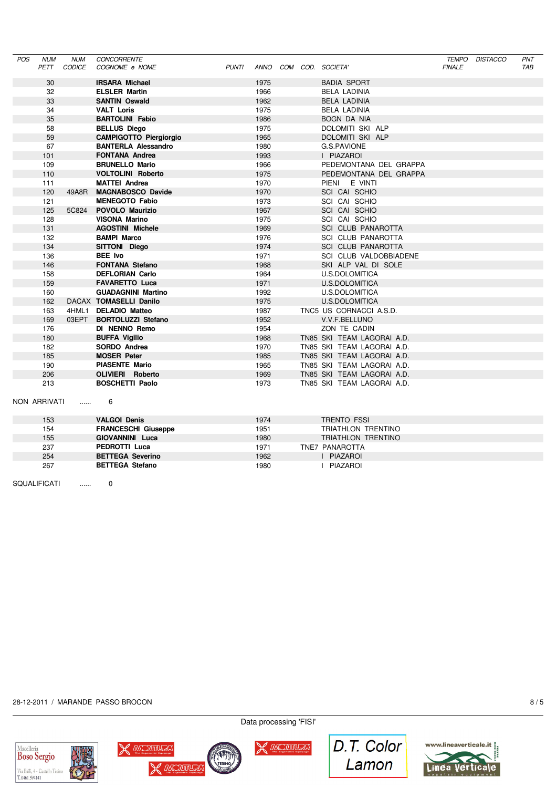| POS | <b>NUM</b> | <b>NUM</b> | <b>CONCORRENTE</b>            |              |      |  |                            |               | TEMPO DISTACCO | PNT |
|-----|------------|------------|-------------------------------|--------------|------|--|----------------------------|---------------|----------------|-----|
|     | PETT       | CODICE     | COGNOME e NOME                | <b>PUNTI</b> |      |  | ANNO COM COD. SOCIETA'     | <b>FINALE</b> |                | TAB |
|     | 30         |            | <b>IRSARA Michael</b>         |              | 1975 |  | <b>BADIA SPORT</b>         |               |                |     |
|     | 32         |            | <b>ELSLER Martin</b>          |              | 1966 |  | <b>BELA LADINIA</b>        |               |                |     |
|     | 33         |            | <b>SANTIN Oswald</b>          |              | 1962 |  | <b>BELA LADINIA</b>        |               |                |     |
|     | 34         |            | <b>VALT Loris</b>             |              | 1975 |  | <b>BELA LADINIA</b>        |               |                |     |
|     | 35         |            | <b>BARTOLINI Fabio</b>        |              | 1986 |  | <b>BOGN DA NIA</b>         |               |                |     |
|     | 58         |            | <b>BELLUS Diego</b>           |              | 1975 |  | DOLOMITI SKI ALP           |               |                |     |
|     | 59         |            | <b>CAMPIGOTTO Piergiorgio</b> |              | 1965 |  | DOLOMITI SKI ALP           |               |                |     |
|     | 67         |            | <b>BANTERLA Alessandro</b>    |              | 1980 |  | G.S.PAVIONE                |               |                |     |
|     | 101        |            | <b>FONTANA Andrea</b>         |              | 1993 |  | I PIAZAROI                 |               |                |     |
|     | 109        |            | <b>BRUNELLO Mario</b>         |              | 1966 |  | PEDEMONTANA DEL GRAPPA     |               |                |     |
|     | 110        |            | <b>VOLTOLINI Roberto</b>      |              | 1975 |  | PEDEMONTANA DEL GRAPPA     |               |                |     |
|     | 111        |            | <b>MATTEI Andrea</b>          |              | 1970 |  | PIENI E VINTI              |               |                |     |
|     | 120        | 49A8R      | <b>MAGNABOSCO Davide</b>      |              | 1970 |  | SCI CAI SCHIO              |               |                |     |
|     | 121        |            | <b>MENEGOTO Fabio</b>         |              | 1973 |  | SCI CAI SCHIO              |               |                |     |
|     | 125        | 5C824      | POVOLO Maurizio               |              | 1967 |  | SCI CAI SCHIO              |               |                |     |
|     | 128        |            | <b>VISONA Marino</b>          |              | 1975 |  | SCI CAI SCHIO              |               |                |     |
|     | 131        |            | <b>AGOSTINI Michele</b>       |              | 1969 |  | <b>SCI CLUB PANAROTTA</b>  |               |                |     |
|     | 132        |            | <b>BAMPI Marco</b>            |              | 1976 |  | <b>SCI CLUB PANAROTTA</b>  |               |                |     |
|     | 134        |            | SITTONI Diego                 |              | 1974 |  | SCI CLUB PANAROTTA         |               |                |     |
|     | 136        |            | <b>BEE</b> Ivo                |              | 1971 |  | SCI CLUB VALDOBBIADENE     |               |                |     |
|     | 146        |            | <b>FONTANA Stefano</b>        |              | 1968 |  | SKI ALP VAL DI SOLE        |               |                |     |
|     | 158        |            | <b>DEFLORIAN Carlo</b>        |              | 1964 |  | U.S.DOLOMITICA             |               |                |     |
|     | 159        |            | <b>FAVARETTO Luca</b>         |              | 1971 |  | <b>U.S.DOLOMITICA</b>      |               |                |     |
|     | 160        |            | <b>GUADAGNINI Martino</b>     |              | 1992 |  | U.S.DOLOMITICA             |               |                |     |
|     | 162        |            | DACAX TOMASELLI Danilo        |              | 1975 |  | <b>U.S.DOLOMITICA</b>      |               |                |     |
|     | 163        | 4HML1      | <b>DELADIO Matteo</b>         |              | 1987 |  | TNC5 US CORNACCI A.S.D.    |               |                |     |
|     | 169        | 03EPT      | <b>BORTOLUZZI Stefano</b>     |              | 1952 |  | V.V.F.BELLUNO              |               |                |     |
|     | 176        |            | DI NENNO Remo                 |              | 1954 |  | ZON TE CADIN               |               |                |     |
|     | 180        |            | <b>BUFFA Vigilio</b>          |              | 1968 |  | TN85 SKI TEAM LAGORAI A.D. |               |                |     |
|     | 182        |            | SORDO Andrea                  |              | 1970 |  | TN85 SKI TEAM LAGORAI A.D. |               |                |     |
|     | 185        |            | <b>MOSER Peter</b>            |              | 1985 |  | TN85 SKI TEAM LAGORAI A.D. |               |                |     |
|     | 190        |            | <b>PIASENTE Mario</b>         |              | 1965 |  | TN85 SKI TEAM LAGORAI A.D. |               |                |     |
|     | 206        |            | <b>OLIVIERI</b> Roberto       |              | 1969 |  | TN85 SKI TEAM LAGORAI A.D. |               |                |     |
|     | 213        |            | <b>BOSCHETTI Paolo</b>        |              | 1973 |  | TN85 SKI TEAM LAGORAI A.D. |               |                |     |
|     |            |            |                               |              |      |  |                            |               |                |     |

#### NON ARRIVATI ...... 6

| 153 | <b>VALGOI Denis</b>        | 1974 | TRENTO FSSI        |  |
|-----|----------------------------|------|--------------------|--|
| 154 | <b>FRANCESCHI Giuseppe</b> | 1951 | TRIATHLON TRENTINO |  |
| 155 | <b>GIOVANNINI Luca</b>     | 1980 | TRIATHLON TRENTINO |  |
| 237 | <b>PEDROTTI Luca</b>       | 1971 | TNE7 PANAROTTA     |  |
| 254 | <b>BETTEGA Severino</b>    | 1962 | <b>PIAZAROL</b>    |  |
| 267 | <b>BETTEGA Stefano</b>     | 1980 | PIAZAROI           |  |

SQUALIFICATI ...... 0

28-12-2011 / MARANDE PASSO BROCON 8/5







Data processing 'FISI'



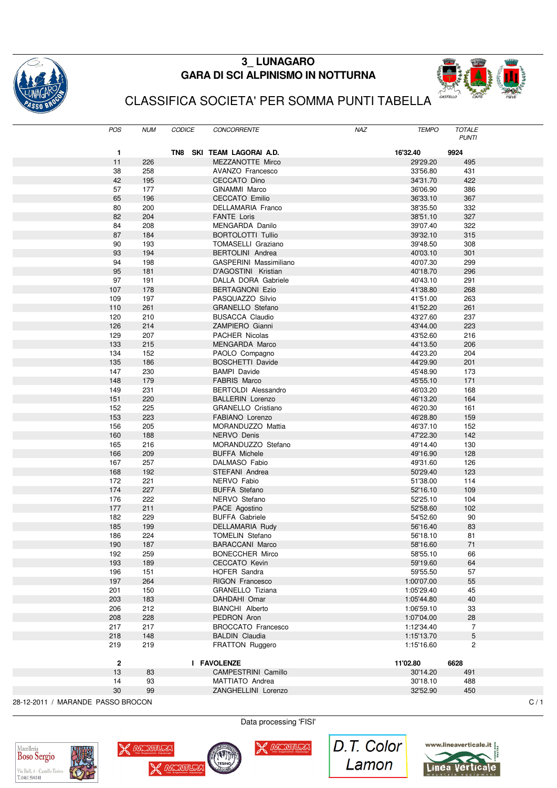

## **3\_ LUNAGARO GARA DI SCI ALPINISMO IN NOTTURNA**



# CLASSIFICA SOCIETA' PER SOMMA PUNTI TABELLA

|                                   | POS          | <b>NUM</b> | <b>CODICE</b> | CONCORRENTE                | NAZ | <b>TEMPO</b> | <b>TOTALE</b><br><b>PUNTI</b> |     |
|-----------------------------------|--------------|------------|---------------|----------------------------|-----|--------------|-------------------------------|-----|
|                                   | 1            |            |               | TN8 SKI TEAM LAGORAI A.D.  |     | 16'32.40     | 9924                          |     |
|                                   | 11           | 226        |               | MEZZANOTTE Mirco           |     | 29'29.20     | 495                           |     |
|                                   | 38           | 258        |               | AVANZO Francesco           |     | 33'56.80     | 431                           |     |
|                                   | 42           | 195        |               | CECCATO Dino               |     | 34'31.70     | 422                           |     |
|                                   | 57           | 177        |               | GINAMMI Marco              |     | 36'06.90     | 386                           |     |
|                                   | 65           | 196        |               | <b>CECCATO Emilio</b>      |     | 36'33.10     | 367                           |     |
|                                   | 80           | 200        |               | DELLAMARIA Franco          |     | 38'35.50     | 332                           |     |
|                                   | 82           | 204        |               | <b>FANTE Loris</b>         |     | 38'51.10     | 327                           |     |
|                                   | 84           | 208        |               | MENGARDA Danilo            |     | 39'07.40     | 322                           |     |
|                                   | 87           | 184        |               | <b>BORTOLOTTI Tullio</b>   |     | 39'32.10     | 315                           |     |
|                                   | 90           | 193        |               | TOMASELLI Graziano         |     | 39'48.50     | 308                           |     |
|                                   | 93           | 194        |               | <b>BERTOLINI</b> Andrea    |     | 40'03.10     | 301                           |     |
|                                   | 94           | 198        |               | GASPERINI Massimiliano     |     | 40'07.30     | 299                           |     |
|                                   | 95           | 181        |               | D'AGOSTINI Kristian        |     | 40'18.70     | 296                           |     |
|                                   | 97           | 191        |               | DALLA DORA Gabriele        |     |              | 291                           |     |
|                                   |              |            |               |                            |     | 40'43.10     |                               |     |
|                                   | 107          | 178        |               | <b>BERTAGNONI Ezio</b>     |     | 41'38.80     | 268                           |     |
|                                   | 109          | 197        |               | PASQUAZZO Silvio           |     | 41'51.00     | 263                           |     |
|                                   | 110          | 261        |               | GRANELLO Stefano           |     | 41'52.20     | 261                           |     |
|                                   | 120          | 210        |               | <b>BUSACCA Claudio</b>     |     | 43'27.60     | 237                           |     |
|                                   | 126          | 214        |               | ZAMPIERO Gianni            |     | 43'44.00     | 223                           |     |
|                                   | 129          | 207        |               | PACHER Nicolas             |     | 43'52.60     | 216                           |     |
|                                   | 133          | 215        |               | MENGARDA Marco             |     | 44'13.50     | 206                           |     |
|                                   | 134          | 152        |               | PAOLO Compagno             |     | 44'23.20     | 204                           |     |
|                                   | 135          | 186        |               | <b>BOSCHETTI Davide</b>    |     | 44'29.90     | 201                           |     |
|                                   | 147          | 230        |               | <b>BAMPI</b> Davide        |     | 45'48.90     | 173                           |     |
|                                   | 148          | 179        |               | <b>FABRIS Marco</b>        |     | 45'55.10     | 171                           |     |
|                                   | 149          | 231        |               | <b>BERTOLDI</b> Alessandro |     | 46'03.20     | 168                           |     |
|                                   | 151          | 220        |               | <b>BALLERIN Lorenzo</b>    |     | 46'13.20     | 164                           |     |
|                                   | 152          | 225        |               | <b>GRANELLO Cristiano</b>  |     | 46'20.30     | 161                           |     |
|                                   | 153          | 223        |               | FABIANO Lorenzo            |     | 46'28.80     | 159                           |     |
|                                   | 156          | 205        |               | MORANDUZZO Mattia          |     | 46'37.10     | 152                           |     |
|                                   | 160          | 188        |               | NERVO Denis                |     | 47'22.30     | 142                           |     |
|                                   | 165          | 216        |               | MORANDUZZO Stefano         |     | 49'14.40     | 130                           |     |
|                                   | 166          | 209        |               | <b>BUFFA Michele</b>       |     | 49'16.90     | 128                           |     |
|                                   | 167          | 257        |               | DALMASO Fabio              |     | 49'31.60     | 126                           |     |
|                                   | 168          | 192        |               | STEFANI Andrea             |     | 50'29.40     | 123                           |     |
|                                   | 172          | 221        |               | NERVO Fabio                |     | 51'38.00     | 114                           |     |
|                                   | 174          | 227        |               | <b>BUFFA Stefano</b>       |     | 52'16.10     | 109                           |     |
|                                   | 176          | 222        |               | NERVO Stefano              |     | 52'25.10     | 104                           |     |
|                                   | 177          | 211        |               | PACE Agostino              |     | 52'58.60     | 102                           |     |
|                                   | 182          | 229        |               | <b>BUFFA Gabriele</b>      |     | 54'52.60     | 90                            |     |
|                                   | 185          | 199        |               | DELLAMARIA Rudy            |     | 56'16.40     | 83                            |     |
|                                   | 186          | 224        |               | <b>TOMELIN Stefano</b>     |     | 56'18.10     | 81                            |     |
|                                   | 190          | 187        |               | <b>BARACCANI Marco</b>     |     | 58'16.60     | 71                            |     |
|                                   | 192          | 259        |               | <b>BONECCHER Mirco</b>     |     | 58'55.10     | 66                            |     |
|                                   | 193          | 189        |               | <b>CECCATO Kevin</b>       |     | 59'19.60     | 64                            |     |
|                                   | 196          | 151        |               | HOFER Sandra               |     | 59'55.50     | 57                            |     |
|                                   | 197          | 264        |               | <b>RIGON Francesco</b>     |     | 1:00'07.00   | 55                            |     |
|                                   | 201          | 150        |               | GRANELLO Tiziana           |     | 1:05'29.40   | 45                            |     |
|                                   |              | 183        |               | DAHDAHI Omar               |     |              | 40                            |     |
|                                   | 203          | 212        |               | BIANCHI Alberto            |     | 1:05'44.80   |                               |     |
|                                   | 206          |            |               |                            |     | 1:06'59.10   | 33                            |     |
|                                   | 208          | 228        |               | PEDRON Aron                |     | 1:07'04.00   | 28                            |     |
|                                   | 217          | 217        |               | <b>BROCCATO Francesco</b>  |     | 1:12'34.40   | $\overline{7}$                |     |
|                                   | 218          | 148        |               | <b>BALDIN Claudia</b>      |     | 1:15'13.70   | 5                             |     |
|                                   | 219          | 219        |               | <b>FRATTON Ruggero</b>     |     | 1:15'16.60   | $\mathbf{2}$                  |     |
|                                   | $\mathbf{2}$ |            |               | I FAVOLENZE                |     | 11'02.80     | 6628                          |     |
|                                   | 13           | 83         |               | CAMPESTRINI Camillo        |     | 30'14.20     | 491                           |     |
|                                   | 14           | 93         |               | MATTIATO Andrea            |     | 30'18.10     | 488                           |     |
|                                   | 30           | 99         |               | ZANGHELLINI Lorenzo        |     | 32'52.90     | 450                           |     |
| 28-12-2011 / MARANDE PASSO BROCON |              |            |               |                            |     |              |                               | C/1 |





Data processing 'FISI'

**X** MONTER

D.T. Color Lamon

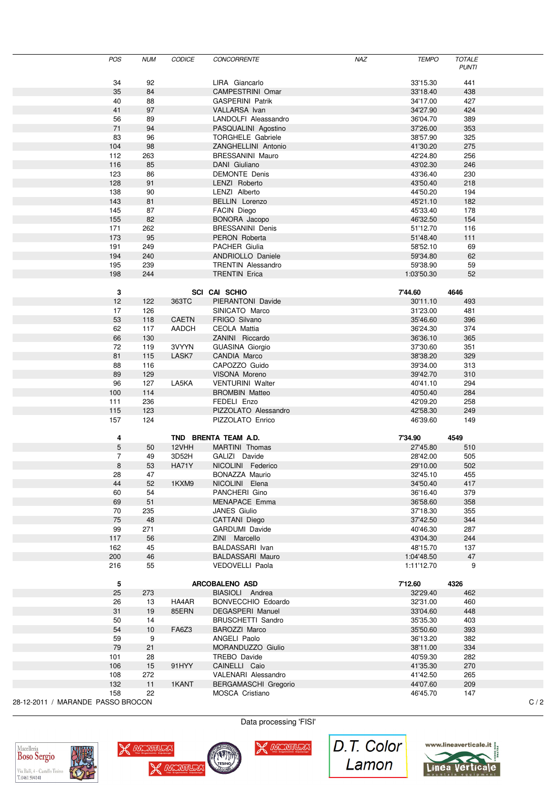| POS                               | <b>NUM</b> | <b>CODICE</b> | CONCORRENTE              | <b>NAZ</b> | <b>TEMPO</b> | <b>TOTALE</b><br><b>PUNTI</b> |     |
|-----------------------------------|------------|---------------|--------------------------|------------|--------------|-------------------------------|-----|
| 34                                | 92         |               | LIRA Giancarlo           |            | 33'15.30     | 441                           |     |
| 35                                | 84         |               | CAMPESTRINI Omar         |            | 33'18.40     | 438                           |     |
| 40                                | 88         |               | <b>GASPERINI Patrik</b>  |            | 34'17.00     | 427                           |     |
| 41                                | 97         |               | <b>VALLARSA</b> Ivan     |            | 34'27.90     | 424                           |     |
| 56                                | 89         |               | LANDOLFI Aleassandro     |            | 36'04.70     | 389                           |     |
| $71$                              | 94         |               | PASQUALINI Agostino      |            | 37'26.00     | 353                           |     |
| 83                                | 96         |               | <b>TORGHELE Gabriele</b> |            | 38'57.90     | 325                           |     |
| 104                               | 98         |               | ZANGHELLINI Antonio      |            | 41'30.20     | 275                           |     |
| 112                               | 263        |               | <b>BRESSANINI Mauro</b>  |            | 42'24.80     | 256                           |     |
| 116                               | 85         |               | DANI Giuliano            |            | 43'02.30     | 246                           |     |
| 123                               | 86         |               | <b>DEMONTE Denis</b>     |            | 43'36.40     | 230                           |     |
| 128                               | 91         |               | LENZI Roberto            |            | 43'50.40     | 218                           |     |
| 138                               |            |               |                          |            | 44'50.20     |                               |     |
|                                   | 90         |               | LENZI Alberto            |            |              | 194                           |     |
| 143<br>145                        | 81         |               | BELLIN Lorenzo           |            | 45'21.10     | 182                           |     |
|                                   | 87         |               | FACIN Diego              |            | 45'33.40     | 178                           |     |
| 155                               | 82         |               | BONORA Jacopo            |            | 46'32.50     | 154                           |     |
| 171                               | 262        |               | <b>BRESSANINI Denis</b>  |            | 51'12.70     | 116                           |     |
| 173                               | 95         |               | PERON Roberta            |            | 51'48.40     | 111                           |     |
| 191                               | 249        |               | PACHER Giulia            |            | 58'52.10     | 69                            |     |
| 194                               | 240        |               | ANDRIOLLO Daniele        |            | 59'34.80     | 62                            |     |
| 195                               | 239        |               | TRENTIN Alessandro       |            | 59'38.90     | 59                            |     |
| 198                               | 244        |               | <b>TRENTIN Erica</b>     |            | 1:03'50.30   | 52                            |     |
| 3                                 |            |               | <b>SCI CAI SCHIO</b>     |            | 7'44.60      | 4646                          |     |
| 12                                | 122        | 363TC         | PIERANTONI Davide        |            | 30'11.10     | 493                           |     |
| 17                                | 126        |               | SINICATO Marco           |            | 31'23.00     | 481                           |     |
| 53                                | 118        | <b>CAETN</b>  | FRIGO Silvano            |            | 35'46.60     | 396                           |     |
| 62                                | 117        | AADCH         | CEOLA Mattia             |            | 36'24.30     | 374                           |     |
| 66                                | 130        |               | ZANINI Riccardo          |            | 36'36.10     | 365                           |     |
| 72                                | 119        | 3VYYN         | <b>GUASINA Giorgio</b>   |            | 37'30.60     | 351                           |     |
| 81                                | 115        | LASK7         | CANDIA Marco             |            | 38'38.20     | 329                           |     |
| 88                                | 116        |               | CAPOZZO Guido            |            | 39'34.00     | 313                           |     |
| 89                                | 129        |               | VISONA Moreno            |            | 39'42.70     | 310                           |     |
| 96                                | 127        | LA5KA         | <b>VENTURINI Walter</b>  |            | 40'41.10     | 294                           |     |
|                                   |            |               |                          |            |              |                               |     |
| 100                               | 114        |               | <b>BROMBIN Matteo</b>    |            | 40'50.40     | 284                           |     |
| 111                               | 236        |               | FEDELI Enzo              |            | 42'09.20     | 258                           |     |
| 115                               | 123        |               | PIZZOLATO Alessandro     |            | 42'58.30     | 249                           |     |
| 157                               | 124        |               | PIZZOLATO Enrico         |            | 46'39.60     | 149                           |     |
| 4                                 |            |               | TND BRENTA TEAM A.D.     |            | 7'34.90      | 4549                          |     |
| $\sqrt{5}$                        | 50         | 12VHH         | MARTINI Thomas           |            | 27'45.80     | 510                           |     |
| 7                                 | 49         | 3D52H         | GALIZI Davide            |            | 28'42.00     | 505                           |     |
| 8                                 | 53         | <b>HA71Y</b>  | NICOLINI Federico        |            | 29'10.00     | 502                           |     |
| 28                                | 47         |               | BONAZZA Maurio           |            | 32'45.10     | 455                           |     |
| 44                                | 52         | 1KXM9         | NICOLINI Elena           |            | 34'50.40     | 417                           |     |
| 60                                | 54         |               | PANCHERI Gino            |            | 36'16.40     | 379                           |     |
| 69                                | 51         |               | MENAPACE Emma            |            | 36'58.60     | 358                           |     |
| 70                                | 235        |               | JANES Giulio             |            | 37'18.30     | 355                           |     |
| 75                                | 48         |               | CATTANI Diego            |            | 37'42.50     | 344                           |     |
| 99                                | 271        |               | GARDUMI Davide           |            | 40'46.30     | 287                           |     |
| 117                               | 56         |               | ZINI Marcello            |            | 43'04.30     | 244                           |     |
| 162                               | 45         |               | BALDASSARI Ivan          |            | 48'15.70     | 137                           |     |
| 200                               | 46         |               | <b>BALDASSARI Mauro</b>  |            | 1:04'48.50   | 47                            |     |
| 216                               | 55         |               | VEDOVELLI Paola          |            | 1:11'12.70   | 9                             |     |
|                                   |            |               |                          |            |              |                               |     |
| 5                                 |            |               | ARCOBALENO ASD           |            | 7'12.60      | 4326                          |     |
| 25                                | 273        |               | BIASIOLI Andrea          |            | 32'29.40     | 462                           |     |
| 26                                | 13         | HA4AR         | BONVECCHIO Edoardo       |            | 32'31.00     | 460                           |     |
| 31                                | 19         | 85ERN         | DEGASPERI Manuel         |            | 33'04.60     | 448                           |     |
| 50                                | 14         |               | <b>BRUSCHETTI Sandro</b> |            | 35'35.30     | 403                           |     |
| 54                                | 10         | FA6Z3         | BAROZZI Marco            |            | 35'50.60     | 393                           |     |
| 59                                | 9          |               | ANGELI Paolo             |            | 36'13.20     | 382                           |     |
| 79                                | 21         |               | MORANDUZZO Giulio        |            | 38'11.00     | 334                           |     |
| 101                               | 28         |               | TREBO Davide             |            | 40'59.30     | 282                           |     |
| 106                               | 15         | 91HYY         | CAINELLI Caio            |            | 41'35.30     | 270                           |     |
| 108                               | 272        |               | VALENARI Alessandro      |            | 41'42.50     | 265                           |     |
| 132                               | 11         | 1KANT         | BERGAMASCHI Gregorio     |            | 44'07.60     | 209                           |     |
| 158                               | 22         |               | MOSCA Cristiano          |            | 46'45.70     | 147                           |     |
| 28-12-2011 / MARANDE PASSO BROCON |            |               |                          |            |              |                               | C/2 |

Macelleria<br>Boso Sergio Via Baili, 4 - Castello Tesino<br>T. 0461 594141



Data processing 'FISI'

TESINO

X WONTERS



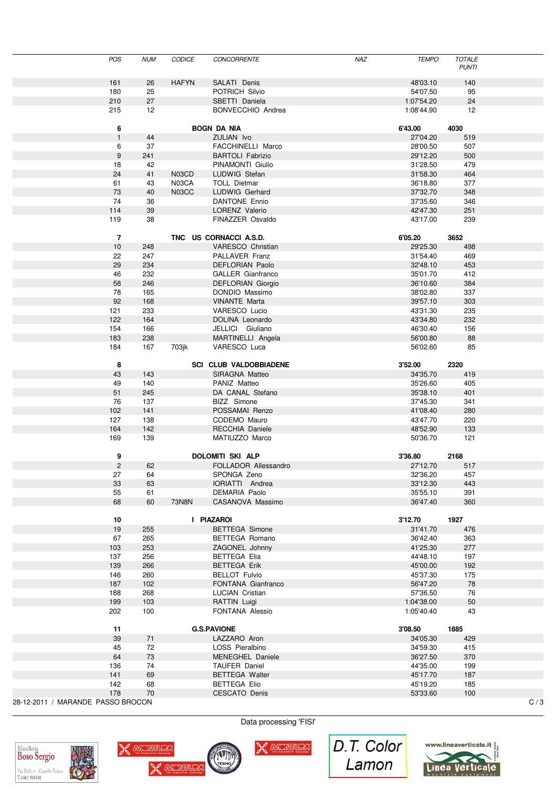|                                   | <b>POS</b>     | <b>NUM</b> | <b>CODICE</b> | <b>CONCORRENTE</b>            | <b>NAZ</b> | <b>TEMPO</b> | <b>TOTALE</b><br><b>PUNTI</b> |     |
|-----------------------------------|----------------|------------|---------------|-------------------------------|------------|--------------|-------------------------------|-----|
|                                   | 161            | 26         | <b>HAFYN</b>  | SALATI Denis                  |            | 48'03.10     | 140                           |     |
|                                   |                |            |               |                               |            |              |                               |     |
|                                   | 180            | 25         |               | POTRICH Silvio                |            | 54'07.50     | 95                            |     |
|                                   | 210            | 27         |               | SBETTI Daniela                |            | 1:07'54.20   | 24                            |     |
|                                   | 215            | 12         |               | BONVECCHIO Andrea             |            | 1:08'44.90   | 12                            |     |
|                                   | 6              |            |               | <b>BOGN DA NIA</b>            |            | 6'43.00      | 4030                          |     |
|                                   | $\mathbf{1}$   | 44         |               | ZULIAN Ivo                    |            | 27'04.20     | 519                           |     |
|                                   | 6              | 37         |               | FACCHINELLI Marco             |            | 28'00.50     | 507                           |     |
|                                   | $9\,$          | 241        |               | <b>BARTOLI Fabrizio</b>       |            | 29'12.20     | 500                           |     |
|                                   | 18             | 42         |               | PINAMONTI Giulio              |            | 31'28.50     | 479                           |     |
|                                   | 24             |            | N03CD         | LUDWIG Stefan                 |            |              |                               |     |
|                                   |                | 41         |               |                               |            | 31'58.30     | 464                           |     |
|                                   | 61             | 43         | N03CA         | <b>TOLL Dietmar</b>           |            | 36'18.80     | 377                           |     |
|                                   | 73             | 40         | N03CC         | LUDWIG Gerhard                |            | 37'32.70     | 348                           |     |
|                                   | 74             | 36         |               | <b>DANTONE Ennio</b>          |            | 37'35.60     | 346                           |     |
|                                   | 114            | 39         |               | LORENZ Valerio                |            | 42'47.30     | 251                           |     |
|                                   | 119            | 38         |               | FINAZZER Osvaldo              |            | 43'17.00     | 239                           |     |
|                                   | $\overline{7}$ |            |               | TNC US CORNACCI A.S.D.        |            | 6'05.20      | 3652                          |     |
|                                   | 10             | 248        |               | VARESCO Christian             |            | 29'25.30     | 498                           |     |
|                                   | 22             | 247        |               | PALLAVER Franz                |            | 31'54.40     | 469                           |     |
|                                   | 29             | 234        |               | DEFLORIAN Paolo               |            | 32'48.10     | 453                           |     |
|                                   |                |            |               |                               |            |              |                               |     |
|                                   | 46             | 232        |               | GALLER Gianfranco             |            | 35'01.70     | 412                           |     |
|                                   | 58             | 246        |               | DEFLORIAN Giorgio             |            | 36'10.60     | 384                           |     |
|                                   | 78             | 165        |               | DONDIO Massimo                |            | 38'02.80     | 337                           |     |
|                                   | 92             | 168        |               | <b>VINANTE Marta</b>          |            | 39'57.10     | 303                           |     |
|                                   | 121            | 233        |               | VARESCO Lucio                 |            | 43'31.30     | 235                           |     |
|                                   | 122            | 164        |               | DOLINA Leonardo               |            | 43'34.80     | 232                           |     |
|                                   | 154            | 166        |               | JELLICI Giuliano              |            | 46'30.40     | 156                           |     |
|                                   | 183            | 238        |               | MARTINELLI Angela             |            | 56'00.80     | 88                            |     |
|                                   | 184            | 167        | 703jk         | VARESCO Luca                  |            | 56'02.60     | 85                            |     |
|                                   |                |            |               |                               |            |              |                               |     |
|                                   | 8              |            |               | <b>SCI CLUB VALDOBBIADENE</b> |            | 3'52.00      | 2320                          |     |
|                                   | 43             | 143        |               | SIRAGNA Matteo                |            | 34'35.70     | 419                           |     |
|                                   | 49             | 140        |               | PANIZ Matteo                  |            | 35'26.60     | 405                           |     |
|                                   | 51             | 245        |               | DA CANAL Stefano              |            | 35'38.10     | 401                           |     |
|                                   | 76             | 137        |               | BIZZ Simone                   |            | 37'45.30     | 341                           |     |
|                                   | 102            | 141        |               | POSSAMAI Renzo                |            | 41'08.40     | 280                           |     |
|                                   |                |            |               |                               |            |              |                               |     |
|                                   | 127            | 138        |               | CODEMO Mauro                  |            | 43'47.70     | 220                           |     |
|                                   | 164            | 142        |               | RECCHIA Daniele               |            | 48'52.90     | 133                           |     |
|                                   | 169            | 139        |               | MATIUZZO Marco                |            | 50'36.70     | 121                           |     |
|                                   | 9              |            |               | <b>DOLOMITI SKI ALP</b>       |            | 3'36.80      | 2168                          |     |
|                                   | $\overline{2}$ | 62         |               | FOLLADOR Allessandro          |            | 27'12.70     | 517                           |     |
|                                   | 27             | 64         |               | SPONGA Zeno                   |            | 32'36.20     | 457                           |     |
|                                   | 33             | 63         |               | IORIATTI Andrea               |            | 33'12.30     | 443                           |     |
|                                   | 55             | 61         |               | <b>DEMARIA Paolo</b>          |            | 35'55.10     | 391                           |     |
|                                   | 68             | 60         | 73N8N         | CASANOVA Massimo              |            | 36'47.40     | 360                           |     |
|                                   |                |            |               |                               |            |              |                               |     |
|                                   | 10             |            |               | I PIAZAROI                    |            | 3'12.70      | 1927                          |     |
|                                   | 19             | 255        |               | <b>BETTEGA Simone</b>         |            | 31'41.70     | 476                           |     |
|                                   | 67             | 265        |               | BETTEGA Romano                |            | 36'42.40     | 363                           |     |
|                                   | 103            | 253        |               | ZAGONEL Johnny                |            | 41'25.30     | 277                           |     |
|                                   | 137            | 256        |               | <b>BETTEGA Elia</b>           |            | 44'48.10     | 197                           |     |
|                                   | 139            | 266        |               | <b>BETTEGA Erik</b>           |            | 45'00.00     | 192                           |     |
|                                   | 146            | 260        |               | <b>BELLOT Fulvio</b>          |            | 45'37.30     |                               |     |
|                                   |                |            |               |                               |            |              | 175                           |     |
|                                   | 187            | 102        |               | FONTANA Gianfranco            |            | 56'47.20     | 78                            |     |
|                                   | 188            | 268        |               | LUCIAN Cristian               |            | 57'36.50     | 76                            |     |
|                                   | 199            | 103        |               | RATTIN Luigi                  |            | 1:04'38.00   | 50                            |     |
|                                   | 202            | 100        |               | FONTANA Alessio               |            | 1:05'40.40   | 43                            |     |
|                                   | 11             |            |               | <b>G.S.PAVIONE</b>            |            | 3'08.50      | 1885                          |     |
|                                   | 39             | 71         |               | LAZZARO Aron                  |            | 34'05.30     | 429                           |     |
|                                   | 45             | 72         |               | LOSS Pieralbino               |            | 34'59.30     | 415                           |     |
|                                   |                |            |               |                               |            |              |                               |     |
|                                   | 64             | 73         |               | MENEGHEL Daniele              |            | 36'27.50     | 370                           |     |
|                                   | 136            | 74         |               | <b>TAUFER Daniel</b>          |            | 44'35.00     | 199                           |     |
|                                   | 141            | 69         |               | <b>BETTEGA Walter</b>         |            | 45'17.70     | 187                           |     |
|                                   | 142            | 68         |               | <b>BETTEGA Elio</b>           |            | 45'19.20     | 185                           |     |
|                                   | 178            | 70         |               | CESCATO Denis                 |            | 53'33.60     | 100                           |     |
| 28-12-2011 / MARANDE PASSO BROCON |                |            |               |                               |            |              |                               | C/3 |





TESINO

X WONTERS



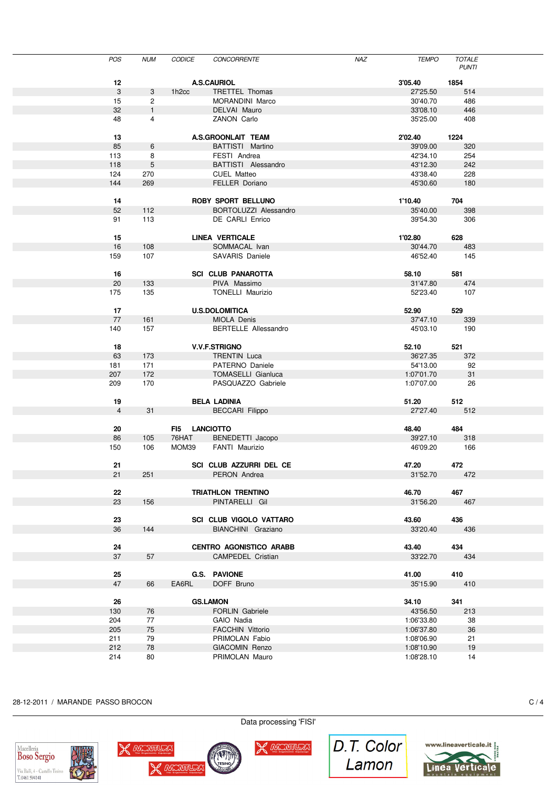| POS            | <b>NUM</b><br>CODICE   | <b>CONCORRENTE</b>             | NAZ | <b>TEMPO</b> | <b>TOTALE</b><br><b>PUNTI</b> |  |
|----------------|------------------------|--------------------------------|-----|--------------|-------------------------------|--|
| 12             |                        | <b>A.S.CAURIOL</b>             |     | 3'05.40      | 1854                          |  |
| $\mathbf{3}$   | 3<br>1h <sub>2cc</sub> | TRETTEL Thomas                 |     | 27'25.50     | 514                           |  |
| 15             | $\overline{2}$         | MORANDINI Marco                |     | 30'40.70     | 486                           |  |
| 32             | $\mathbf{1}$           | DELVAI Mauro                   |     | 33'08.10     | 446                           |  |
| 48             | 4                      | ZANON Carlo                    |     |              | 408                           |  |
|                |                        |                                |     | 35'25.00     |                               |  |
| 13             |                        | A.S.GROONLAIT TEAM             |     | 2'02.40      | 1224                          |  |
| 85             | 6                      | BATTISTI Martino               |     | 39'09.00     | 320                           |  |
| 113            | 8                      | FESTI Andrea                   |     | 42'34.10     | 254                           |  |
| 118            | 5                      | BATTISTI Alessandro            |     | 43'12.30     | 242                           |  |
| 124            | 270                    | <b>CUEL Matteo</b>             |     | 43'38.40     | 228                           |  |
| 144            | 269                    | <b>FELLER Doriano</b>          |     | 45'30.60     | 180                           |  |
|                |                        |                                |     |              |                               |  |
| 14             |                        | ROBY SPORT BELLUNO             |     | 1'10.40      | 704                           |  |
| 52             |                        |                                |     |              | 398                           |  |
|                | 112                    | BORTOLUZZI Alessandro          |     | 35'40.00     |                               |  |
| 91             | 113                    | DE CARLI Enrico                |     | 39'54.30     | 306                           |  |
| 15             |                        | <b>LINEA VERTICALE</b>         |     | 1'02.80      | 628                           |  |
| 16             | 108                    | SOMMACAL Ivan                  |     | 30'44.70     | 483                           |  |
| 159            | 107                    | <b>SAVARIS Daniele</b>         |     | 46'52.40     | 145                           |  |
|                |                        |                                |     |              |                               |  |
| 16             |                        | <b>SCI CLUB PANAROTTA</b>      |     | 58.10        | 581                           |  |
| 20             | 133                    | PIVA Massimo                   |     | 31'47.80     | 474                           |  |
| 175            | 135                    | <b>TONELLI Maurizio</b>        |     | 52'23.40     | 107                           |  |
|                |                        |                                |     |              |                               |  |
| 17             |                        | <b>U.S.DOLOMITICA</b>          |     | 52.90        | 529                           |  |
| 77             | 161                    | MIOLA Denis                    |     | 37'47.10     | 339                           |  |
| 140            | 157                    | <b>BERTELLE Allessandro</b>    |     | 45'03.10     | 190                           |  |
|                |                        |                                |     |              |                               |  |
| 18             |                        | <b>V.V.F.STRIGNO</b>           |     | 52.10        | 521                           |  |
| 63             | 173                    | <b>TRENTIN Luca</b>            |     | 36'27.35     | 372                           |  |
| 181            | 171                    | PATERNO Daniele                |     | 54'13.00     | 92                            |  |
| 207            | 172                    | <b>TOMASELLI Gianluca</b>      |     | 1:07'01.70   | 31                            |  |
| 209            | 170                    | PASQUAZZO Gabriele             |     | 1:07'07.00   | 26                            |  |
|                |                        |                                |     |              |                               |  |
| 19             |                        | <b>BELA LADINIA</b>            |     | 51.20        | 512                           |  |
| $\overline{4}$ | 31                     | <b>BECCARI</b> Filippo         |     | 27'27.40     | 512                           |  |
|                |                        |                                |     |              |                               |  |
| 20             |                        | FI5 LANCIOTTO                  |     | 48.40        | 484                           |  |
| 86             | 76HAT                  |                                |     | 39'27.10     |                               |  |
|                | 105                    | BENEDETTI Jacopo               |     |              | 318                           |  |
| 150            | 106<br>MOM39           | FANTI Maurizio                 |     | 46'09.20     | 166                           |  |
| 21             |                        | SCI CLUB AZZURRI DEL CE        |     | 47.20        | 472                           |  |
| 21             | 251                    | PERON Andrea                   |     | 31'52.70     | 472                           |  |
|                |                        |                                |     |              |                               |  |
| 22             |                        | TRIATHLON TRENTINO             |     | 46.70        | 467                           |  |
| 23             | 156                    | PINTARELLI Gil                 |     | 31'56.20     |                               |  |
|                |                        |                                |     |              | 467                           |  |
|                |                        |                                |     |              |                               |  |
| 23             |                        | SCI CLUB VIGOLO VATTARO        |     | 43.60        | 436                           |  |
| 36             | 144                    | BIANCHINI Graziano             |     | 33'20.40     | 436                           |  |
|                |                        |                                |     |              |                               |  |
| 24             |                        | <b>CENTRO AGONISTICO ARABB</b> |     | 43.40        | 434                           |  |
| 37             | 57                     | CAMPEDEL Cristian              |     | 33'22.70     | 434                           |  |
|                |                        |                                |     |              |                               |  |
| 25             |                        | <b>G.S. PAVIONE</b>            |     | 41.00        | 410                           |  |
| 47             | 66<br>EA6RL            | DOFF Bruno                     |     | 35'15.90     | 410                           |  |
|                |                        |                                |     |              |                               |  |
| 26             |                        | <b>GS.LAMON</b>                |     | 34.10        | 341                           |  |
| 130            | 76                     | FORLIN Gabriele                |     | 43'56.50     | 213                           |  |
| 204            | 77                     | GAIO Nadia                     |     | 1:06'33.80   | 38                            |  |
| 205            | 75                     | <b>FACCHIN Vittorio</b>        |     | 1:06'37.80   | 36                            |  |
| 211            | 79                     | PRIMOLAN Fabio                 |     | 1:08'06.90   | 21                            |  |
| 212            | 78                     | GIACOMIN Renzo                 |     | 1:08'10.90   | 19                            |  |
| 214            | 80                     | PRIMOLAN Mauro                 |     | 1:08'28.10   | 14                            |  |
|                |                        |                                |     |              |                               |  |
|                |                        |                                |     |              |                               |  |

#### 28-12-2011 / MARANDE PASSO BROCON C / 4





Data processing 'FISI'

X MONTERS

TESINO